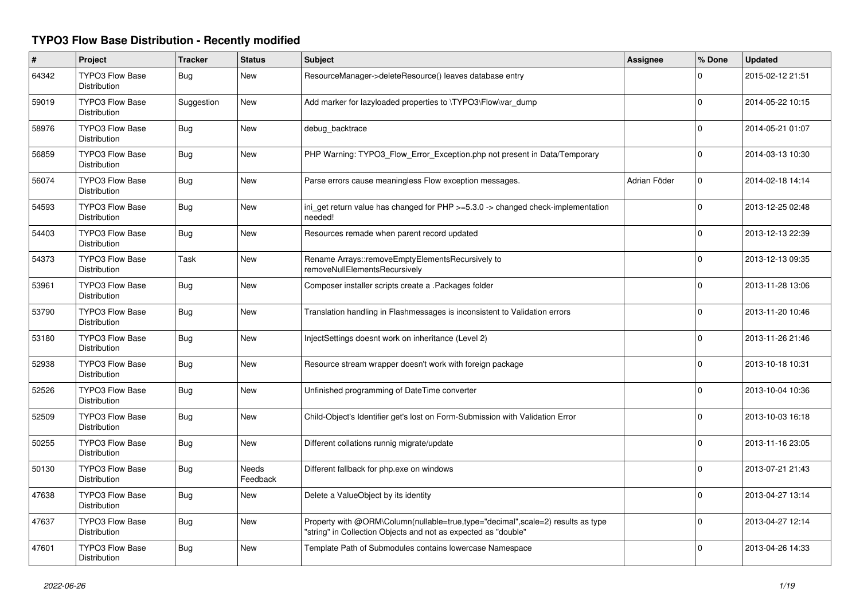## **TYPO3 Flow Base Distribution - Recently modified**

| #     | <b>Project</b>                                | <b>Tracker</b> | <b>Status</b>     | Subject                                                                                                                                           | <b>Assignee</b> | % Done      | <b>Updated</b>   |
|-------|-----------------------------------------------|----------------|-------------------|---------------------------------------------------------------------------------------------------------------------------------------------------|-----------------|-------------|------------------|
| 64342 | <b>TYPO3 Flow Base</b><br>Distribution        | Bug            | New               | ResourceManager->deleteResource() leaves database entry                                                                                           |                 | $\Omega$    | 2015-02-12 21:51 |
| 59019 | <b>TYPO3 Flow Base</b><br>Distribution        | Suggestion     | New               | Add marker for lazyloaded properties to \TYPO3\Flow\var_dump                                                                                      |                 | $\Omega$    | 2014-05-22 10:15 |
| 58976 | <b>TYPO3 Flow Base</b><br><b>Distribution</b> | Bug            | New               | debug_backtrace                                                                                                                                   |                 | $\Omega$    | 2014-05-21 01:07 |
| 56859 | <b>TYPO3 Flow Base</b><br><b>Distribution</b> | Bug            | <b>New</b>        | PHP Warning: TYPO3_Flow_Error_Exception.php not present in Data/Temporary                                                                         |                 | $\Omega$    | 2014-03-13 10:30 |
| 56074 | <b>TYPO3 Flow Base</b><br>Distribution        | Bug            | New               | Parse errors cause meaningless Flow exception messages.                                                                                           | Adrian Föder    | $\mathbf 0$ | 2014-02-18 14:14 |
| 54593 | <b>TYPO3 Flow Base</b><br>Distribution        | Bug            | <b>New</b>        | ini_get return value has changed for PHP >=5.3.0 -> changed check-implementation<br>needed!                                                       |                 | $\mathbf 0$ | 2013-12-25 02:48 |
| 54403 | <b>TYPO3 Flow Base</b><br>Distribution        | Bug            | New               | Resources remade when parent record updated                                                                                                       |                 | $\mathbf 0$ | 2013-12-13 22:39 |
| 54373 | TYPO3 Flow Base<br>Distribution               | Task           | New               | Rename Arrays::removeEmptyElementsRecursively to<br>removeNullElementsRecursively                                                                 |                 | $\mathbf 0$ | 2013-12-13 09:35 |
| 53961 | <b>TYPO3 Flow Base</b><br>Distribution        | Bug            | New               | Composer installer scripts create a .Packages folder                                                                                              |                 | $\Omega$    | 2013-11-28 13:06 |
| 53790 | <b>TYPO3 Flow Base</b><br>Distribution        | Bug            | New               | Translation handling in Flashmessages is inconsistent to Validation errors                                                                        |                 | $\Omega$    | 2013-11-20 10:46 |
| 53180 | <b>TYPO3 Flow Base</b><br><b>Distribution</b> | Bug            | New               | InjectSettings doesnt work on inheritance (Level 2)                                                                                               |                 | $\mathbf 0$ | 2013-11-26 21:46 |
| 52938 | <b>TYPO3 Flow Base</b><br>Distribution        | <b>Bug</b>     | New               | Resource stream wrapper doesn't work with foreign package                                                                                         |                 | $\Omega$    | 2013-10-18 10:31 |
| 52526 | <b>TYPO3 Flow Base</b><br>Distribution        | Bug            | New               | Unfinished programming of DateTime converter                                                                                                      |                 | $\mathbf 0$ | 2013-10-04 10:36 |
| 52509 | TYPO3 Flow Base<br><b>Distribution</b>        | Bug            | New               | Child-Object's Identifier get's lost on Form-Submission with Validation Error                                                                     |                 | $\Omega$    | 2013-10-03 16:18 |
| 50255 | <b>TYPO3 Flow Base</b><br><b>Distribution</b> | Bug            | New               | Different collations runnig migrate/update                                                                                                        |                 | $\Omega$    | 2013-11-16 23:05 |
| 50130 | TYPO3 Flow Base<br><b>Distribution</b>        | Bug            | Needs<br>Feedback | Different fallback for php.exe on windows                                                                                                         |                 | $\Omega$    | 2013-07-21 21:43 |
| 47638 | <b>TYPO3 Flow Base</b><br><b>Distribution</b> | Bug            | New               | Delete a ValueObject by its identity                                                                                                              |                 | $\Omega$    | 2013-04-27 13:14 |
| 47637 | <b>TYPO3 Flow Base</b><br>Distribution        | Bug            | New               | Property with @ORM\Column(nullable=true,type="decimal",scale=2) results as type<br>'string" in Collection Objects and not as expected as "double" |                 | $\Omega$    | 2013-04-27 12:14 |
| 47601 | <b>TYPO3 Flow Base</b><br>Distribution        | <b>Bug</b>     | New               | Template Path of Submodules contains lowercase Namespace                                                                                          |                 | $\Omega$    | 2013-04-26 14:33 |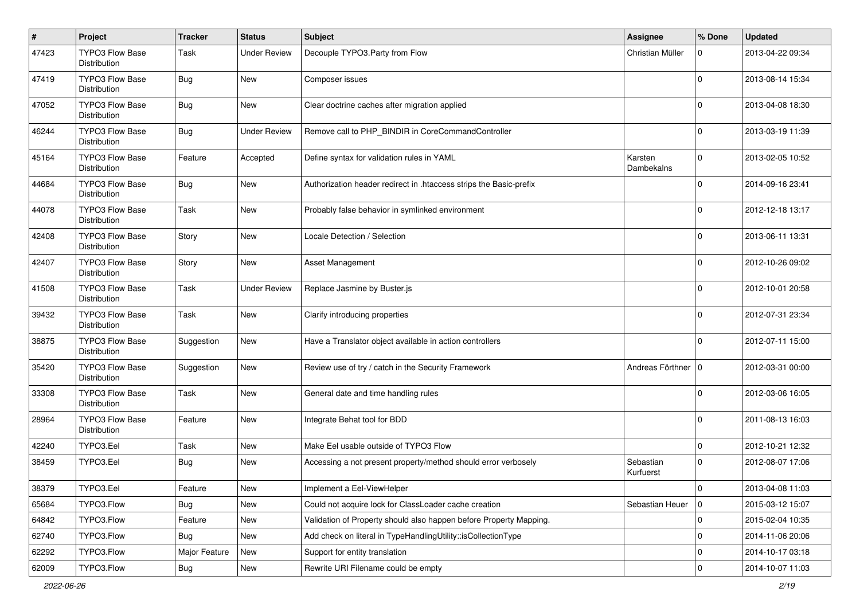| $\sharp$ | Project                                | <b>Tracker</b> | <b>Status</b>       | Subject                                                            | <b>Assignee</b>        | % Done      | <b>Updated</b>   |
|----------|----------------------------------------|----------------|---------------------|--------------------------------------------------------------------|------------------------|-------------|------------------|
| 47423    | TYPO3 Flow Base<br><b>Distribution</b> | Task           | <b>Under Review</b> | Decouple TYPO3.Party from Flow                                     | Christian Müller       | 0           | 2013-04-22 09:34 |
| 47419    | TYPO3 Flow Base<br>Distribution        | Bug            | New                 | Composer issues                                                    |                        | 0           | 2013-08-14 15:34 |
| 47052    | TYPO3 Flow Base<br>Distribution        | Bug            | New                 | Clear doctrine caches after migration applied                      |                        | 0           | 2013-04-08 18:30 |
| 46244    | <b>TYPO3 Flow Base</b><br>Distribution | Bug            | <b>Under Review</b> | Remove call to PHP_BINDIR in CoreCommandController                 |                        | $\Omega$    | 2013-03-19 11:39 |
| 45164    | <b>TYPO3 Flow Base</b><br>Distribution | Feature        | Accepted            | Define syntax for validation rules in YAML                         | Karsten<br>Dambekalns  | $\Omega$    | 2013-02-05 10:52 |
| 44684    | <b>TYPO3 Flow Base</b><br>Distribution | Bug            | New                 | Authorization header redirect in .htaccess strips the Basic-prefix |                        | $\Omega$    | 2014-09-16 23:41 |
| 44078    | TYPO3 Flow Base<br>Distribution        | Task           | <b>New</b>          | Probably false behavior in symlinked environment                   |                        | $\Omega$    | 2012-12-18 13:17 |
| 42408    | TYPO3 Flow Base<br>Distribution        | Story          | New                 | Locale Detection / Selection                                       |                        | $\Omega$    | 2013-06-11 13:31 |
| 42407    | TYPO3 Flow Base<br>Distribution        | Story          | New                 | Asset Management                                                   |                        | 0           | 2012-10-26 09:02 |
| 41508    | TYPO3 Flow Base<br>Distribution        | Task           | <b>Under Review</b> | Replace Jasmine by Buster.js                                       |                        | 0           | 2012-10-01 20:58 |
| 39432    | <b>TYPO3 Flow Base</b><br>Distribution | Task           | New                 | Clarify introducing properties                                     |                        | $\Omega$    | 2012-07-31 23:34 |
| 38875    | <b>TYPO3 Flow Base</b><br>Distribution | Suggestion     | <b>New</b>          | Have a Translator object available in action controllers           |                        | $\Omega$    | 2012-07-11 15:00 |
| 35420    | <b>TYPO3 Flow Base</b><br>Distribution | Suggestion     | <b>New</b>          | Review use of try / catch in the Security Framework                | Andreas Förthner   0   |             | 2012-03-31 00:00 |
| 33308    | TYPO3 Flow Base<br>Distribution        | Task           | <b>New</b>          | General date and time handling rules                               |                        | $\Omega$    | 2012-03-06 16:05 |
| 28964    | <b>TYPO3 Flow Base</b><br>Distribution | Feature        | New                 | Integrate Behat tool for BDD                                       |                        | 0           | 2011-08-13 16:03 |
| 42240    | TYPO3.Eel                              | Task           | New                 | Make Eel usable outside of TYPO3 Flow                              |                        | $\Omega$    | 2012-10-21 12:32 |
| 38459    | TYPO3.Eel                              | <b>Bug</b>     | New                 | Accessing a not present property/method should error verbosely     | Sebastian<br>Kurfuerst | $\Omega$    | 2012-08-07 17:06 |
| 38379    | TYPO3.Eel                              | Feature        | New                 | Implement a Eel-ViewHelper                                         |                        | $\pmb{0}$   | 2013-04-08 11:03 |
| 65684    | TYPO3.Flow                             | <b>Bug</b>     | New                 | Could not acquire lock for ClassLoader cache creation              | Sebastian Heuer        | l o         | 2015-03-12 15:07 |
| 64842    | TYPO3.Flow                             | Feature        | New                 | Validation of Property should also happen before Property Mapping. |                        | 0           | 2015-02-04 10:35 |
| 62740    | TYPO3.Flow                             | <b>Bug</b>     | New                 | Add check on literal in TypeHandlingUtility::isCollectionType      |                        | $\mathbf 0$ | 2014-11-06 20:06 |
| 62292    | TYPO3.Flow                             | Major Feature  | New                 | Support for entity translation                                     |                        | $\mathbf 0$ | 2014-10-17 03:18 |
| 62009    | TYPO3.Flow                             | Bug            | New                 | Rewrite URI Filename could be empty                                |                        | $\pmb{0}$   | 2014-10-07 11:03 |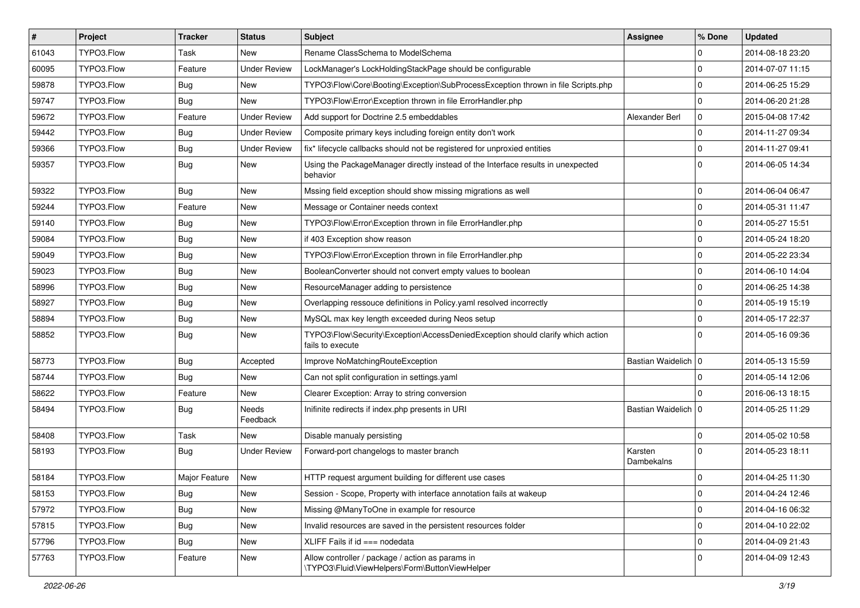| $\vert$ # | Project    | <b>Tracker</b> | <b>Status</b>       | Subject                                                                                             | <b>Assignee</b>       | % Done              | <b>Updated</b>   |
|-----------|------------|----------------|---------------------|-----------------------------------------------------------------------------------------------------|-----------------------|---------------------|------------------|
| 61043     | TYPO3.Flow | Task           | New                 | Rename ClassSchema to ModelSchema                                                                   |                       | 0                   | 2014-08-18 23:20 |
| 60095     | TYPO3.Flow | Feature        | <b>Under Review</b> | LockManager's LockHoldingStackPage should be configurable                                           |                       | $\mathbf 0$         | 2014-07-07 11:15 |
| 59878     | TYPO3.Flow | Bug            | New                 | TYPO3\Flow\Core\Booting\Exception\SubProcessException thrown in file Scripts.php                    |                       | $\mathbf 0$         | 2014-06-25 15:29 |
| 59747     | TYPO3.Flow | <b>Bug</b>     | New                 | TYPO3\Flow\Error\Exception thrown in file ErrorHandler.php                                          |                       | $\mathbf 0$         | 2014-06-20 21:28 |
| 59672     | TYPO3.Flow | Feature        | <b>Under Review</b> | Add support for Doctrine 2.5 embeddables                                                            | Alexander Berl        | $\mathbf 0$         | 2015-04-08 17:42 |
| 59442     | TYPO3.Flow | Bug            | <b>Under Review</b> | Composite primary keys including foreign entity don't work                                          |                       | $\mathbf 0$         | 2014-11-27 09:34 |
| 59366     | TYPO3.Flow | Bug            | <b>Under Review</b> | fix* lifecycle callbacks should not be registered for unproxied entities                            |                       | $\mathbf 0$         | 2014-11-27 09:41 |
| 59357     | TYPO3.Flow | Bug            | New                 | Using the PackageManager directly instead of the Interface results in unexpected<br>behavior        |                       | $\Omega$            | 2014-06-05 14:34 |
| 59322     | TYPO3.Flow | Bug            | <b>New</b>          | Mssing field exception should show missing migrations as well                                       |                       | 0                   | 2014-06-04 06:47 |
| 59244     | TYPO3.Flow | Feature        | <b>New</b>          | Message or Container needs context                                                                  |                       | $\mathbf 0$         | 2014-05-31 11:47 |
| 59140     | TYPO3.Flow | <b>Bug</b>     | New                 | TYPO3\Flow\Error\Exception thrown in file ErrorHandler.php                                          |                       | $\mathbf 0$         | 2014-05-27 15:51 |
| 59084     | TYPO3.Flow | Bug            | New                 | if 403 Exception show reason                                                                        |                       | $\mathbf 0$         | 2014-05-24 18:20 |
| 59049     | TYPO3.Flow | Bug            | New                 | TYPO3\Flow\Error\Exception thrown in file ErrorHandler.php                                          |                       | $\mathbf 0$         | 2014-05-22 23:34 |
| 59023     | TYPO3.Flow | Bug            | New                 | BooleanConverter should not convert empty values to boolean                                         |                       | $\mathbf 0$         | 2014-06-10 14:04 |
| 58996     | TYPO3.Flow | <b>Bug</b>     | New                 | ResourceManager adding to persistence                                                               |                       | $\mathbf 0$         | 2014-06-25 14:38 |
| 58927     | TYPO3.Flow | Bug            | New                 | Overlapping ressouce definitions in Policy.yaml resolved incorrectly                                |                       | $\mathbf 0$         | 2014-05-19 15:19 |
| 58894     | TYPO3.Flow | Bug            | <b>New</b>          | MySQL max key length exceeded during Neos setup                                                     |                       | $\mathbf 0$         | 2014-05-17 22:37 |
| 58852     | TYPO3.Flow | Bug            | New                 | TYPO3\Flow\Security\Exception\AccessDeniedException should clarify which action<br>fails to execute |                       | $\Omega$            | 2014-05-16 09:36 |
| 58773     | TYPO3.Flow | Bug            | Accepted            | Improve NoMatchingRouteException                                                                    | Bastian Waidelich   0 |                     | 2014-05-13 15:59 |
| 58744     | TYPO3.Flow | Bug            | New                 | Can not split configuration in settings.yaml                                                        |                       | $\mathbf 0$         | 2014-05-14 12:06 |
| 58622     | TYPO3.Flow | Feature        | <b>New</b>          | Clearer Exception: Array to string conversion                                                       |                       | 0                   | 2016-06-13 18:15 |
| 58494     | TYPO3.Flow | <b>Bug</b>     | Needs<br>Feedback   | Inifinite redirects if index.php presents in URI                                                    | Bastian Waidelich   0 |                     | 2014-05-25 11:29 |
| 58408     | TYPO3.Flow | Task           | <b>New</b>          | Disable manualy persisting                                                                          |                       | $\mathbf 0$         | 2014-05-02 10:58 |
| 58193     | TYPO3.Flow | Bug            | <b>Under Review</b> | Forward-port changelogs to master branch                                                            | Karsten<br>Dambekalns | $\Omega$            | 2014-05-23 18:11 |
| 58184     | TYPO3.Flow | Major Feature  | New                 | HTTP request argument building for different use cases                                              |                       | 0                   | 2014-04-25 11:30 |
| 58153     | TYPO3.Flow | <b>Bug</b>     | New                 | Session - Scope, Property with interface annotation fails at wakeup                                 |                       | $\pmb{0}$           | 2014-04-24 12:46 |
| 57972     | TYPO3.Flow | <b>Bug</b>     | New                 | Missing @ManyToOne in example for resource                                                          |                       | $\mathbf 0$         | 2014-04-16 06:32 |
| 57815     | TYPO3.Flow | <b>Bug</b>     | New                 | Invalid resources are saved in the persistent resources folder                                      |                       | $\mathsf{O}\xspace$ | 2014-04-10 22:02 |
| 57796     | TYPO3.Flow | <b>Bug</b>     | New                 | XLIFF Fails if id === nodedata                                                                      |                       | $\mathbf 0$         | 2014-04-09 21:43 |
| 57763     | TYPO3.Flow | Feature        | New                 | Allow controller / package / action as params in<br>\TYPO3\Fluid\ViewHelpers\Form\ButtonViewHelper  |                       | $\mathbf 0$         | 2014-04-09 12:43 |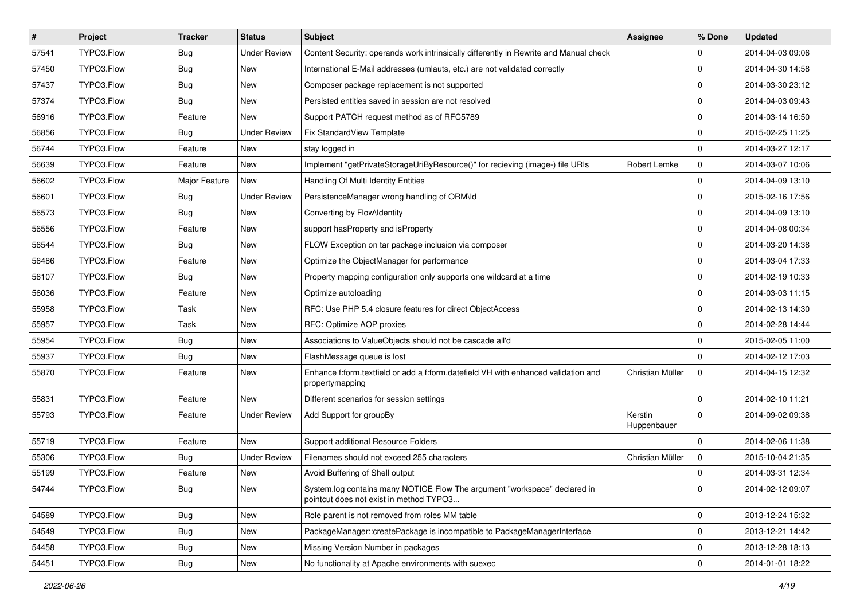| $\pmb{\#}$ | Project    | <b>Tracker</b> | <b>Status</b>       | Subject                                                                                                              | Assignee               | % Done              | <b>Updated</b>   |
|------------|------------|----------------|---------------------|----------------------------------------------------------------------------------------------------------------------|------------------------|---------------------|------------------|
| 57541      | TYPO3.Flow | Bug            | <b>Under Review</b> | Content Security: operands work intrinsically differently in Rewrite and Manual check                                |                        | 0                   | 2014-04-03 09:06 |
| 57450      | TYPO3.Flow | Bug            | <b>New</b>          | International E-Mail addresses (umlauts, etc.) are not validated correctly                                           |                        | $\mathbf 0$         | 2014-04-30 14:58 |
| 57437      | TYPO3.Flow | Bug            | New                 | Composer package replacement is not supported                                                                        |                        | $\mathbf 0$         | 2014-03-30 23:12 |
| 57374      | TYPO3.Flow | Bug            | New                 | Persisted entities saved in session are not resolved                                                                 |                        | $\mathbf 0$         | 2014-04-03 09:43 |
| 56916      | TYPO3.Flow | Feature        | New                 | Support PATCH request method as of RFC5789                                                                           |                        | $\mathbf 0$         | 2014-03-14 16:50 |
| 56856      | TYPO3.Flow | Bug            | <b>Under Review</b> | Fix StandardView Template                                                                                            |                        | $\mathbf 0$         | 2015-02-25 11:25 |
| 56744      | TYPO3.Flow | Feature        | New                 | stay logged in                                                                                                       |                        | $\mathbf 0$         | 2014-03-27 12:17 |
| 56639      | TYPO3.Flow | Feature        | New                 | Implement "getPrivateStorageUriByResource()" for recieving (image-) file URIs                                        | Robert Lemke           | 0                   | 2014-03-07 10:06 |
| 56602      | TYPO3.Flow | Major Feature  | New                 | Handling Of Multi Identity Entities                                                                                  |                        | $\mathbf 0$         | 2014-04-09 13:10 |
| 56601      | TYPO3.Flow | Bug            | <b>Under Review</b> | PersistenceManager wrong handling of ORM\ld                                                                          |                        | $\mathbf 0$         | 2015-02-16 17:56 |
| 56573      | TYPO3.Flow | Bug            | New                 | Converting by Flow\Identity                                                                                          |                        | $\mathbf 0$         | 2014-04-09 13:10 |
| 56556      | TYPO3.Flow | Feature        | New                 | support hasProperty and isProperty                                                                                   |                        | $\mathbf 0$         | 2014-04-08 00:34 |
| 56544      | TYPO3.Flow | Bug            | New                 | FLOW Exception on tar package inclusion via composer                                                                 |                        | $\mathbf 0$         | 2014-03-20 14:38 |
| 56486      | TYPO3.Flow | Feature        | New                 | Optimize the ObjectManager for performance                                                                           |                        | $\mathbf 0$         | 2014-03-04 17:33 |
| 56107      | TYPO3.Flow | Bug            | New                 | Property mapping configuration only supports one wildcard at a time                                                  |                        | $\mathbf 0$         | 2014-02-19 10:33 |
| 56036      | TYPO3.Flow | Feature        | New                 | Optimize autoloading                                                                                                 |                        | $\mathbf 0$         | 2014-03-03 11:15 |
| 55958      | TYPO3.Flow | Task           | New                 | RFC: Use PHP 5.4 closure features for direct ObjectAccess                                                            |                        | $\mathbf 0$         | 2014-02-13 14:30 |
| 55957      | TYPO3.Flow | Task           | New                 | RFC: Optimize AOP proxies                                                                                            |                        | $\mathbf 0$         | 2014-02-28 14:44 |
| 55954      | TYPO3.Flow | Bug            | New                 | Associations to ValueObjects should not be cascade all'd                                                             |                        | $\mathbf 0$         | 2015-02-05 11:00 |
| 55937      | TYPO3.Flow | Bug            | New                 | FlashMessage queue is lost                                                                                           |                        | $\mathbf 0$         | 2014-02-12 17:03 |
| 55870      | TYPO3.Flow | Feature        | New                 | Enhance f:form.textfield or add a f:form.datefield VH with enhanced validation and<br>propertymapping                | Christian Müller       | $\mathbf 0$         | 2014-04-15 12:32 |
| 55831      | TYPO3.Flow | Feature        | New                 | Different scenarios for session settings                                                                             |                        | $\mathbf 0$         | 2014-02-10 11:21 |
| 55793      | TYPO3.Flow | Feature        | <b>Under Review</b> | Add Support for groupBy                                                                                              | Kerstin<br>Huppenbauer | $\mathbf 0$         | 2014-09-02 09:38 |
| 55719      | TYPO3.Flow | Feature        | New                 | Support additional Resource Folders                                                                                  |                        | $\mathbf 0$         | 2014-02-06 11:38 |
| 55306      | TYPO3.Flow | Bug            | <b>Under Review</b> | Filenames should not exceed 255 characters                                                                           | Christian Müller       | 0                   | 2015-10-04 21:35 |
| 55199      | TYPO3.Flow | Feature        | New                 | Avoid Buffering of Shell output                                                                                      |                        | $\mathbf 0$         | 2014-03-31 12:34 |
| 54744      | TYPO3.Flow | Bug            | New                 | System.log contains many NOTICE Flow The argument "workspace" declared in<br>pointcut does not exist in method TYPO3 |                        | 0                   | 2014-02-12 09:07 |
| 54589      | TYPO3.Flow | <b>Bug</b>     | New                 | Role parent is not removed from roles MM table                                                                       |                        | 0                   | 2013-12-24 15:32 |
| 54549      | TYPO3.Flow | <b>Bug</b>     | New                 | PackageManager::createPackage is incompatible to PackageManagerInterface                                             |                        | 0                   | 2013-12-21 14:42 |
| 54458      | TYPO3.Flow | Bug            | New                 | Missing Version Number in packages                                                                                   |                        | 0                   | 2013-12-28 18:13 |
| 54451      | TYPO3.Flow | <b>Bug</b>     | New                 | No functionality at Apache environments with suexec                                                                  |                        | $\mathsf{O}\xspace$ | 2014-01-01 18:22 |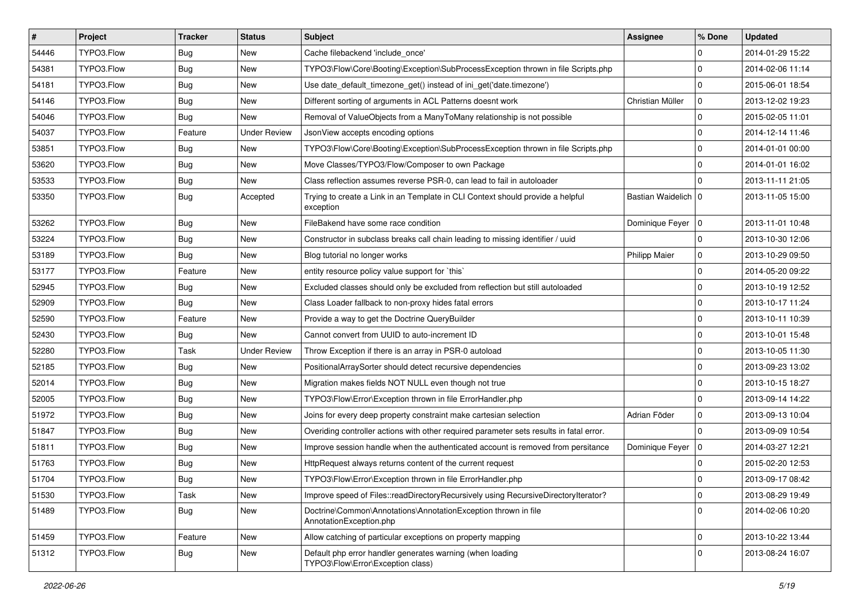| $\vert$ # | Project    | <b>Tracker</b> | <b>Status</b>       | <b>Subject</b>                                                                                 | <b>Assignee</b>       | % Done      | <b>Updated</b>   |
|-----------|------------|----------------|---------------------|------------------------------------------------------------------------------------------------|-----------------------|-------------|------------------|
| 54446     | TYPO3.Flow | Bug            | New                 | Cache filebackend 'include_once'                                                               |                       | 0           | 2014-01-29 15:22 |
| 54381     | TYPO3.Flow | Bug            | <b>New</b>          | TYPO3\Flow\Core\Booting\Exception\SubProcessException thrown in file Scripts.php               |                       | $\mathbf 0$ | 2014-02-06 11:14 |
| 54181     | TYPO3.Flow | Bug            | New                 | Use date_default_timezone_get() instead of ini_get('date.timezone')                            |                       | $\mathbf 0$ | 2015-06-01 18:54 |
| 54146     | TYPO3.Flow | Bug            | New                 | Different sorting of arguments in ACL Patterns doesnt work                                     | Christian Müller      | $\mathbf 0$ | 2013-12-02 19:23 |
| 54046     | TYPO3.Flow | Bug            | New                 | Removal of ValueObjects from a ManyToMany relationship is not possible                         |                       | 0           | 2015-02-05 11:01 |
| 54037     | TYPO3.Flow | Feature        | <b>Under Review</b> | JsonView accepts encoding options                                                              |                       | $\mathbf 0$ | 2014-12-14 11:46 |
| 53851     | TYPO3.Flow | Bug            | New                 | TYPO3\Flow\Core\Booting\Exception\SubProcessException thrown in file Scripts.php               |                       | $\mathbf 0$ | 2014-01-01 00:00 |
| 53620     | TYPO3.Flow | Bug            | New                 | Move Classes/TYPO3/Flow/Composer to own Package                                                |                       | $\mathbf 0$ | 2014-01-01 16:02 |
| 53533     | TYPO3.Flow | Bug            | New                 | Class reflection assumes reverse PSR-0, can lead to fail in autoloader                         |                       | $\Omega$    | 2013-11-11 21:05 |
| 53350     | TYPO3.Flow | Bug            | Accepted            | Trying to create a Link in an Template in CLI Context should provide a helpful<br>exception    | Bastian Waidelich   0 |             | 2013-11-05 15:00 |
| 53262     | TYPO3.Flow | Bug            | New                 | FileBakend have some race condition                                                            | Dominique Feyer   0   |             | 2013-11-01 10:48 |
| 53224     | TYPO3.Flow | Bug            | New                 | Constructor in subclass breaks call chain leading to missing identifier / uuid                 |                       | $\mathbf 0$ | 2013-10-30 12:06 |
| 53189     | TYPO3.Flow | Bug            | New                 | Blog tutorial no longer works                                                                  | <b>Philipp Maier</b>  | 0           | 2013-10-29 09:50 |
| 53177     | TYPO3.Flow | Feature        | New                 | entity resource policy value support for `this`                                                |                       | $\mathbf 0$ | 2014-05-20 09:22 |
| 52945     | TYPO3.Flow | Bug            | New                 | Excluded classes should only be excluded from reflection but still autoloaded                  |                       | 0           | 2013-10-19 12:52 |
| 52909     | TYPO3.Flow | Bug            | New                 | Class Loader fallback to non-proxy hides fatal errors                                          |                       | $\mathbf 0$ | 2013-10-17 11:24 |
| 52590     | TYPO3.Flow | Feature        | <b>New</b>          | Provide a way to get the Doctrine QueryBuilder                                                 |                       | 0           | 2013-10-11 10:39 |
| 52430     | TYPO3.Flow | Bug            | New                 | Cannot convert from UUID to auto-increment ID                                                  |                       | $\mathbf 0$ | 2013-10-01 15:48 |
| 52280     | TYPO3.Flow | Task           | <b>Under Review</b> | Throw Exception if there is an array in PSR-0 autoload                                         |                       | $\mathbf 0$ | 2013-10-05 11:30 |
| 52185     | TYPO3.Flow | Bug            | New                 | PositionalArraySorter should detect recursive dependencies                                     |                       | 0           | 2013-09-23 13:02 |
| 52014     | TYPO3.Flow | Bug            | New                 | Migration makes fields NOT NULL even though not true                                           |                       | $\mathbf 0$ | 2013-10-15 18:27 |
| 52005     | TYPO3.Flow | Bug            | <b>New</b>          | TYPO3\Flow\Error\Exception thrown in file ErrorHandler.php                                     |                       | $\mathbf 0$ | 2013-09-14 14:22 |
| 51972     | TYPO3.Flow | Bug            | New                 | Joins for every deep property constraint make cartesian selection                              | Adrian Föder          | $\mathbf 0$ | 2013-09-13 10:04 |
| 51847     | TYPO3.Flow | <b>Bug</b>     | New                 | Overiding controller actions with other required parameter sets results in fatal error.        |                       | $\mathbf 0$ | 2013-09-09 10:54 |
| 51811     | TYPO3.Flow | Bug            | New                 | Improve session handle when the authenticated account is removed from persitance               | Dominique Feyer   0   |             | 2014-03-27 12:21 |
| 51763     | TYPO3.Flow | Bug            | <b>New</b>          | HttpRequest always returns content of the current request                                      |                       | 0           | 2015-02-20 12:53 |
| 51704     | TYPO3.Flow | <b>Bug</b>     | New                 | TYPO3\Flow\Error\Exception thrown in file ErrorHandler.php                                     |                       | 0           | 2013-09-17 08:42 |
| 51530     | TYPO3.Flow | Task           | New                 | Improve speed of Files::readDirectoryRecursively using RecursiveDirectoryIterator?             |                       | 0           | 2013-08-29 19:49 |
| 51489     | TYPO3.Flow | <b>Bug</b>     | New                 | Doctrine\Common\Annotations\AnnotationException thrown in file<br>AnnotationException.php      |                       | $\mathbf 0$ | 2014-02-06 10:20 |
| 51459     | TYPO3.Flow | Feature        | New                 | Allow catching of particular exceptions on property mapping                                    |                       | $\mathbf 0$ | 2013-10-22 13:44 |
| 51312     | TYPO3.Flow | Bug            | New                 | Default php error handler generates warning (when loading<br>TYPO3\Flow\Error\Exception class) |                       | $\mathbf 0$ | 2013-08-24 16:07 |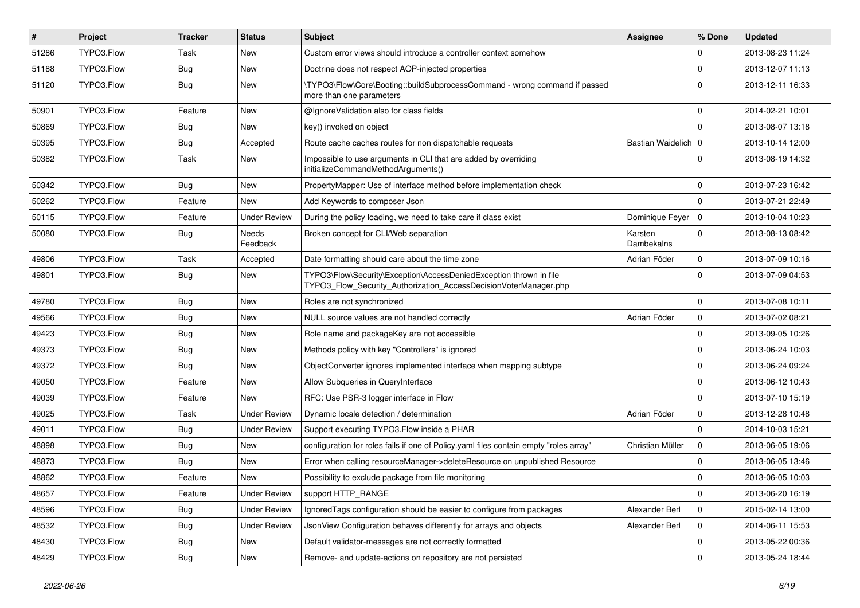| #     | Project    | <b>Tracker</b> | <b>Status</b>       | <b>Subject</b>                                                                                                                         | <b>Assignee</b>       | % Done       | <b>Updated</b>   |
|-------|------------|----------------|---------------------|----------------------------------------------------------------------------------------------------------------------------------------|-----------------------|--------------|------------------|
| 51286 | TYPO3.Flow | Task           | New                 | Custom error views should introduce a controller context somehow                                                                       |                       | 0            | 2013-08-23 11:24 |
| 51188 | TYPO3.Flow | <b>Bug</b>     | New                 | Doctrine does not respect AOP-injected properties                                                                                      |                       | 0            | 2013-12-07 11:13 |
| 51120 | TYPO3.Flow | <b>Bug</b>     | New                 | \TYPO3\Flow\Core\Booting::buildSubprocessCommand - wrong command if passed<br>more than one parameters                                 |                       | $\Omega$     | 2013-12-11 16:33 |
| 50901 | TYPO3.Flow | Feature        | New                 | @IgnoreValidation also for class fields                                                                                                |                       | $\mathbf 0$  | 2014-02-21 10:01 |
| 50869 | TYPO3.Flow | <b>Bug</b>     | New                 | key() invoked on object                                                                                                                |                       | 0            | 2013-08-07 13:18 |
| 50395 | TYPO3.Flow | <b>Bug</b>     | Accepted            | Route cache caches routes for non dispatchable requests                                                                                | Bastian Waidelich   0 |              | 2013-10-14 12:00 |
| 50382 | TYPO3.Flow | Task           | New                 | Impossible to use arguments in CLI that are added by overriding<br>initializeCommandMethodArguments()                                  |                       | $\Omega$     | 2013-08-19 14:32 |
| 50342 | TYPO3.Flow | <b>Bug</b>     | New                 | PropertyMapper: Use of interface method before implementation check                                                                    |                       | 0            | 2013-07-23 16:42 |
| 50262 | TYPO3.Flow | Feature        | New                 | Add Keywords to composer Json                                                                                                          |                       | 0            | 2013-07-21 22:49 |
| 50115 | TYPO3.Flow | Feature        | <b>Under Review</b> | During the policy loading, we need to take care if class exist                                                                         | Dominique Feyer       | l 0          | 2013-10-04 10:23 |
| 50080 | TYPO3.Flow | <b>Bug</b>     | Needs<br>Feedback   | Broken concept for CLI/Web separation                                                                                                  | Karsten<br>Dambekalns | $\Omega$     | 2013-08-13 08:42 |
| 49806 | TYPO3.Flow | Task           | Accepted            | Date formatting should care about the time zone                                                                                        | Adrian Föder          | $\mathbf 0$  | 2013-07-09 10:16 |
| 49801 | TYPO3.Flow | <b>Bug</b>     | New                 | TYPO3\Flow\Security\Exception\AccessDeniedException thrown in file<br>TYPO3_Flow_Security_Authorization_AccessDecisionVoterManager.php |                       | $\mathbf 0$  | 2013-07-09 04:53 |
| 49780 | TYPO3.Flow | <b>Bug</b>     | New                 | Roles are not synchronized                                                                                                             |                       | 0            | 2013-07-08 10:11 |
| 49566 | TYPO3.Flow | <b>Bug</b>     | New                 | NULL source values are not handled correctly                                                                                           | Adrian Föder          | $\mathbf 0$  | 2013-07-02 08:21 |
| 49423 | TYPO3.Flow | <b>Bug</b>     | New                 | Role name and packageKey are not accessible                                                                                            |                       | 0            | 2013-09-05 10:26 |
| 49373 | TYPO3.Flow | <b>Bug</b>     | New                 | Methods policy with key "Controllers" is ignored                                                                                       |                       | 0            | 2013-06-24 10:03 |
| 49372 | TYPO3.Flow | Bug            | New                 | ObjectConverter ignores implemented interface when mapping subtype                                                                     |                       | 0            | 2013-06-24 09:24 |
| 49050 | TYPO3.Flow | Feature        | New                 | Allow Subqueries in QueryInterface                                                                                                     |                       | $\mathbf 0$  | 2013-06-12 10:43 |
| 49039 | TYPO3.Flow | Feature        | New                 | RFC: Use PSR-3 logger interface in Flow                                                                                                |                       | $\mathbf 0$  | 2013-07-10 15:19 |
| 49025 | TYPO3.Flow | Task           | <b>Under Review</b> | Dynamic locale detection / determination                                                                                               | Adrian Föder          | 0            | 2013-12-28 10:48 |
| 49011 | TYPO3.Flow | <b>Bug</b>     | <b>Under Review</b> | Support executing TYPO3.Flow inside a PHAR                                                                                             |                       | $\mathbf{0}$ | 2014-10-03 15:21 |
| 48898 | TYPO3.Flow | <b>Bug</b>     | New                 | configuration for roles fails if one of Policy yaml files contain empty "roles array"                                                  | Christian Müller      | 0            | 2013-06-05 19:06 |
| 48873 | TYPO3.Flow | <b>Bug</b>     | New                 | Error when calling resourceManager->deleteResource on unpublished Resource                                                             |                       | $\mathbf 0$  | 2013-06-05 13:46 |
| 48862 | TYPO3.Flow | Feature        | New                 | Possibility to exclude package from file monitoring                                                                                    |                       | 0            | 2013-06-05 10:03 |
| 48657 | TYPO3.Flow | Feature        | <b>Under Review</b> | support HTTP_RANGE                                                                                                                     |                       | $\mathbf 0$  | 2013-06-20 16:19 |
| 48596 | TYPO3.Flow | <b>Bug</b>     | <b>Under Review</b> | IgnoredTags configuration should be easier to configure from packages                                                                  | Alexander Berl        | $\mathbf 0$  | 2015-02-14 13:00 |
| 48532 | TYPO3.Flow | Bug            | <b>Under Review</b> | JsonView Configuration behaves differently for arrays and objects                                                                      | Alexander Berl        | 0            | 2014-06-11 15:53 |
| 48430 | TYPO3.Flow | <b>Bug</b>     | New                 | Default validator-messages are not correctly formatted                                                                                 |                       | $\mathbf 0$  | 2013-05-22 00:36 |
| 48429 | TYPO3.Flow | Bug            | New                 | Remove- and update-actions on repository are not persisted                                                                             |                       | $\mathbf 0$  | 2013-05-24 18:44 |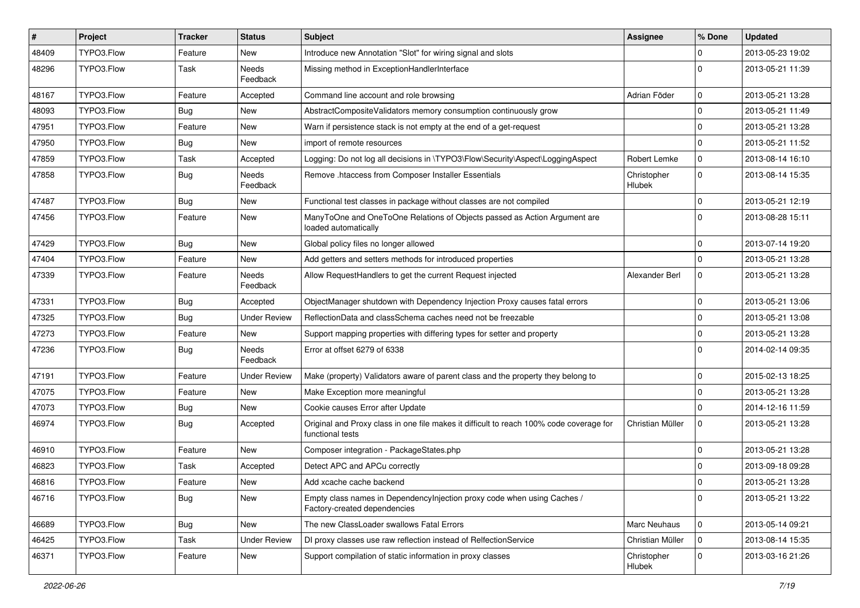| #     | Project    | <b>Tracker</b> | <b>Status</b>       | Subject                                                                                                     | <b>Assignee</b>              | % Done       | <b>Updated</b>   |
|-------|------------|----------------|---------------------|-------------------------------------------------------------------------------------------------------------|------------------------------|--------------|------------------|
| 48409 | TYPO3.Flow | Feature        | New                 | Introduce new Annotation "Slot" for wiring signal and slots                                                 |                              | 0            | 2013-05-23 19:02 |
| 48296 | TYPO3.Flow | Task           | Needs<br>Feedback   | Missing method in ExceptionHandlerInterface                                                                 |                              | 0            | 2013-05-21 11:39 |
| 48167 | TYPO3.Flow | Feature        | Accepted            | Command line account and role browsing                                                                      | Adrian Föder                 | 0            | 2013-05-21 13:28 |
| 48093 | TYPO3.Flow | <b>Bug</b>     | New                 | AbstractCompositeValidators memory consumption continuously grow                                            |                              | $\mathbf{0}$ | 2013-05-21 11:49 |
| 47951 | TYPO3.Flow | Feature        | New                 | Warn if persistence stack is not empty at the end of a get-request                                          |                              | 0            | 2013-05-21 13:28 |
| 47950 | TYPO3.Flow | Bug            | New                 | import of remote resources                                                                                  |                              | $\mathbf 0$  | 2013-05-21 11:52 |
| 47859 | TYPO3.Flow | Task           | Accepted            | Logging: Do not log all decisions in \TYPO3\Flow\Security\Aspect\LoggingAspect                              | Robert Lemke                 | $\mathbf 0$  | 2013-08-14 16:10 |
| 47858 | TYPO3.Flow | Bug            | Needs<br>Feedback   | Remove .htaccess from Composer Installer Essentials                                                         | Christopher<br><b>Hlubek</b> | $\mathbf 0$  | 2013-08-14 15:35 |
| 47487 | TYPO3.Flow | Bug            | New                 | Functional test classes in package without classes are not compiled                                         |                              | $\mathbf 0$  | 2013-05-21 12:19 |
| 47456 | TYPO3.Flow | Feature        | New                 | ManyToOne and OneToOne Relations of Objects passed as Action Argument are<br>loaded automatically           |                              | $\Omega$     | 2013-08-28 15:11 |
| 47429 | TYPO3.Flow | Bug            | New                 | Global policy files no longer allowed                                                                       |                              | 0            | 2013-07-14 19:20 |
| 47404 | TYPO3.Flow | Feature        | New                 | Add getters and setters methods for introduced properties                                                   |                              | $\mathbf 0$  | 2013-05-21 13:28 |
| 47339 | TYPO3.Flow | Feature        | Needs<br>Feedback   | Allow RequestHandlers to get the current Request injected                                                   | Alexander Berl               | 0            | 2013-05-21 13:28 |
| 47331 | TYPO3.Flow | <b>Bug</b>     | Accepted            | ObjectManager shutdown with Dependency Injection Proxy causes fatal errors                                  |                              | 0            | 2013-05-21 13:06 |
| 47325 | TYPO3.Flow | <b>Bug</b>     | <b>Under Review</b> | ReflectionData and classSchema caches need not be freezable                                                 |                              | 0            | 2013-05-21 13:08 |
| 47273 | TYPO3.Flow | Feature        | New                 | Support mapping properties with differing types for setter and property                                     |                              | $\mathbf{0}$ | 2013-05-21 13:28 |
| 47236 | TYPO3.Flow | <b>Bug</b>     | Needs<br>Feedback   | Error at offset 6279 of 6338                                                                                |                              | $\Omega$     | 2014-02-14 09:35 |
| 47191 | TYPO3.Flow | Feature        | <b>Under Review</b> | Make (property) Validators aware of parent class and the property they belong to                            |                              | 0            | 2015-02-13 18:25 |
| 47075 | TYPO3.Flow | Feature        | New                 | Make Exception more meaningful                                                                              |                              | $\mathbf 0$  | 2013-05-21 13:28 |
| 47073 | TYPO3.Flow | Bug            | New                 | Cookie causes Error after Update                                                                            |                              | $\Omega$     | 2014-12-16 11:59 |
| 46974 | TYPO3.Flow | <b>Bug</b>     | Accepted            | Original and Proxy class in one file makes it difficult to reach 100% code coverage for<br>functional tests | Christian Müller             | $\mathbf{0}$ | 2013-05-21 13:28 |
| 46910 | TYPO3.Flow | Feature        | New                 | Composer integration - PackageStates.php                                                                    |                              | $\mathbf 0$  | 2013-05-21 13:28 |
| 46823 | TYPO3.Flow | Task           | Accepted            | Detect APC and APCu correctly                                                                               |                              | $\mathbf 0$  | 2013-09-18 09:28 |
| 46816 | TYPO3.Flow | Feature        | New                 | Add xcache cache backend                                                                                    |                              | $\Omega$     | 2013-05-21 13:28 |
| 46716 | TYPO3.Flow | <b>Bug</b>     | New                 | Empty class names in Dependencylnjection proxy code when using Caches /<br>Factory-created dependencies     |                              | $\mathbf 0$  | 2013-05-21 13:22 |
| 46689 | TYPO3.Flow | <b>Bug</b>     | New                 | The new ClassLoader swallows Fatal Errors                                                                   | Marc Neuhaus                 | $\mathbf 0$  | 2013-05-14 09:21 |
| 46425 | TYPO3.Flow | Task           | <b>Under Review</b> | DI proxy classes use raw reflection instead of RelfectionService                                            | Christian Müller             | $\mathbf 0$  | 2013-08-14 15:35 |
| 46371 | TYPO3.Flow | Feature        | New                 | Support compilation of static information in proxy classes                                                  | Christopher<br>Hlubek        | $\mathbf 0$  | 2013-03-16 21:26 |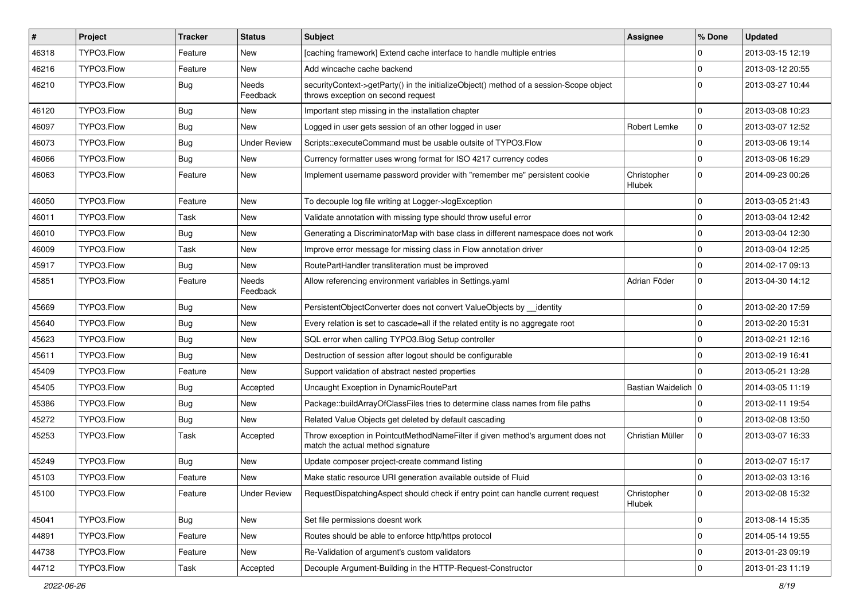| $\vert$ # | Project    | <b>Tracker</b> | <b>Status</b>       | Subject                                                                                                                      | <b>Assignee</b>              | % Done              | <b>Updated</b>   |
|-----------|------------|----------------|---------------------|------------------------------------------------------------------------------------------------------------------------------|------------------------------|---------------------|------------------|
| 46318     | TYPO3.Flow | Feature        | New                 | [caching framework] Extend cache interface to handle multiple entries                                                        |                              | 0                   | 2013-03-15 12:19 |
| 46216     | TYPO3.Flow | Feature        | New                 | Add wincache cache backend                                                                                                   |                              | $\mathbf 0$         | 2013-03-12 20:55 |
| 46210     | TYPO3.Flow | <b>Bug</b>     | Needs<br>Feedback   | securityContext->getParty() in the initializeObject() method of a session-Scope object<br>throws exception on second request |                              | $\Omega$            | 2013-03-27 10:44 |
| 46120     | TYPO3.Flow | <b>Bug</b>     | New                 | Important step missing in the installation chapter                                                                           |                              | 0                   | 2013-03-08 10:23 |
| 46097     | TYPO3.Flow | Bug            | New                 | Logged in user gets session of an other logged in user                                                                       | <b>Robert Lemke</b>          | $\mathbf 0$         | 2013-03-07 12:52 |
| 46073     | TYPO3.Flow | Bug            | <b>Under Review</b> | Scripts::executeCommand must be usable outsite of TYPO3.Flow                                                                 |                              | $\mathbf 0$         | 2013-03-06 19:14 |
| 46066     | TYPO3.Flow | <b>Bug</b>     | New                 | Currency formatter uses wrong format for ISO 4217 currency codes                                                             |                              | $\mathbf 0$         | 2013-03-06 16:29 |
| 46063     | TYPO3.Flow | Feature        | New                 | Implement username password provider with "remember me" persistent cookie                                                    | Christopher<br><b>Hlubek</b> | $\mathbf 0$         | 2014-09-23 00:26 |
| 46050     | TYPO3.Flow | Feature        | New                 | To decouple log file writing at Logger->logException                                                                         |                              | 0                   | 2013-03-05 21:43 |
| 46011     | TYPO3.Flow | Task           | New                 | Validate annotation with missing type should throw useful error                                                              |                              | 0                   | 2013-03-04 12:42 |
| 46010     | TYPO3.Flow | Bug            | New                 | Generating a DiscriminatorMap with base class in different namespace does not work                                           |                              | $\mathbf 0$         | 2013-03-04 12:30 |
| 46009     | TYPO3.Flow | Task           | New                 | Improve error message for missing class in Flow annotation driver                                                            |                              | 0                   | 2013-03-04 12:25 |
| 45917     | TYPO3.Flow | <b>Bug</b>     | New                 | RoutePartHandler transliteration must be improved                                                                            |                              | $\mathbf 0$         | 2014-02-17 09:13 |
| 45851     | TYPO3.Flow | Feature        | Needs<br>Feedback   | Allow referencing environment variables in Settings.yaml                                                                     | Adrian Föder                 | 0                   | 2013-04-30 14:12 |
| 45669     | TYPO3.Flow | <b>Bug</b>     | New                 | PersistentObjectConverter does not convert ValueObjects by __identity                                                        |                              | 0                   | 2013-02-20 17:59 |
| 45640     | TYPO3.Flow | <b>Bug</b>     | New                 | Every relation is set to cascade=all if the related entity is no aggregate root                                              |                              | 0                   | 2013-02-20 15:31 |
| 45623     | TYPO3.Flow | <b>Bug</b>     | New                 | SQL error when calling TYPO3.Blog Setup controller                                                                           |                              | 0                   | 2013-02-21 12:16 |
| 45611     | TYPO3.Flow | <b>Bug</b>     | New                 | Destruction of session after logout should be configurable                                                                   |                              | $\mathbf 0$         | 2013-02-19 16:41 |
| 45409     | TYPO3.Flow | Feature        | New                 | Support validation of abstract nested properties                                                                             |                              | $\Omega$            | 2013-05-21 13:28 |
| 45405     | TYPO3.Flow | Bug            | Accepted            | Uncaught Exception in DynamicRoutePart                                                                                       | Bastian Waidelich   0        |                     | 2014-03-05 11:19 |
| 45386     | TYPO3.Flow | Bug            | New                 | Package::buildArrayOfClassFiles tries to determine class names from file paths                                               |                              | 0                   | 2013-02-11 19:54 |
| 45272     | TYPO3.Flow | Bug            | New                 | Related Value Objects get deleted by default cascading                                                                       |                              | $\Omega$            | 2013-02-08 13:50 |
| 45253     | TYPO3.Flow | Task           | Accepted            | Throw exception in PointcutMethodNameFilter if given method's argument does not<br>match the actual method signature         | Christian Müller             | $\mathbf 0$         | 2013-03-07 16:33 |
| 45249     | TYPO3.Flow | Bug            | New                 | Update composer project-create command listing                                                                               |                              | $\mathbf 0$         | 2013-02-07 15:17 |
| 45103     | TYPO3.Flow | Feature        | New                 | Make static resource URI generation available outside of Fluid                                                               |                              | $\mathbf 0$         | 2013-02-03 13:16 |
| 45100     | TYPO3.Flow | Feature        | <b>Under Review</b> | RequestDispatchingAspect should check if entry point can handle current request                                              | Christopher<br>Hlubek        | $\mathbf 0$         | 2013-02-08 15:32 |
| 45041     | TYPO3.Flow | Bug            | New                 | Set file permissions doesnt work                                                                                             |                              | $\mathbf 0$         | 2013-08-14 15:35 |
| 44891     | TYPO3.Flow | Feature        | New                 | Routes should be able to enforce http/https protocol                                                                         |                              | $\mathbf 0$         | 2014-05-14 19:55 |
| 44738     | TYPO3.Flow | Feature        | New                 | Re-Validation of argument's custom validators                                                                                |                              | 0                   | 2013-01-23 09:19 |
| 44712     | TYPO3.Flow | Task           | Accepted            | Decouple Argument-Building in the HTTP-Request-Constructor                                                                   |                              | $\mathsf{O}\xspace$ | 2013-01-23 11:19 |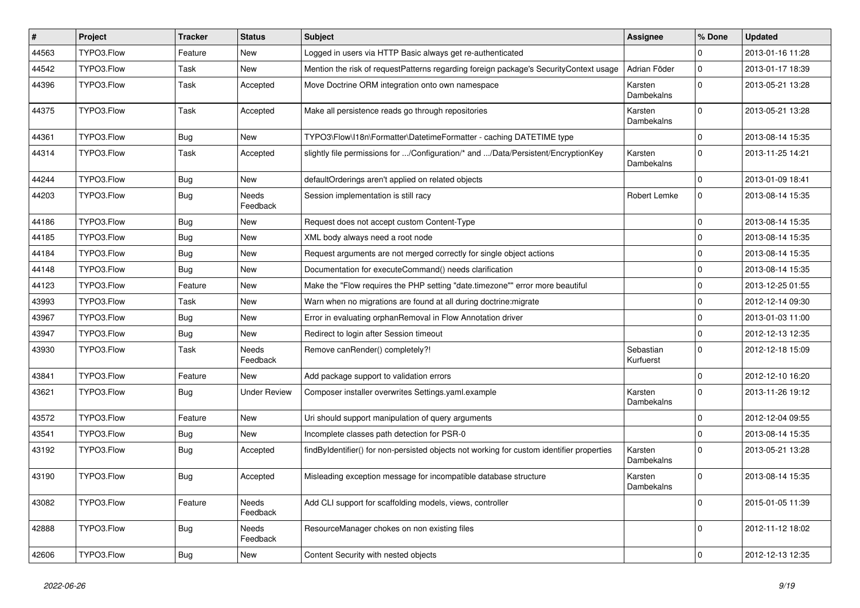| $\vert$ # | Project    | <b>Tracker</b> | <b>Status</b>            | Subject                                                                                   | <b>Assignee</b>        | % Done      | <b>Updated</b>   |
|-----------|------------|----------------|--------------------------|-------------------------------------------------------------------------------------------|------------------------|-------------|------------------|
| 44563     | TYPO3.Flow | Feature        | New                      | Logged in users via HTTP Basic always get re-authenticated                                |                        | $\Omega$    | 2013-01-16 11:28 |
| 44542     | TYPO3.Flow | Task           | New                      | Mention the risk of requestPatterns regarding foreign package's SecurityContext usage     | Adrian Föder           | $\mathbf 0$ | 2013-01-17 18:39 |
| 44396     | TYPO3.Flow | Task           | Accepted                 | Move Doctrine ORM integration onto own namespace                                          | Karsten<br>Dambekalns  | $\Omega$    | 2013-05-21 13:28 |
| 44375     | TYPO3.Flow | Task           | Accepted                 | Make all persistence reads go through repositories                                        | Karsten<br>Dambekalns  | $\Omega$    | 2013-05-21 13:28 |
| 44361     | TYPO3.Flow | Bug            | New                      | TYPO3\Flow\I18n\Formatter\DatetimeFormatter - caching DATETIME type                       |                        | $\Omega$    | 2013-08-14 15:35 |
| 44314     | TYPO3.Flow | Task           | Accepted                 | slightly file permissions for /Configuration/* and /Data/Persistent/EncryptionKey         | Karsten<br>Dambekalns  | $\Omega$    | 2013-11-25 14:21 |
| 44244     | TYPO3.Flow | Bug            | <b>New</b>               | defaultOrderings aren't applied on related objects                                        |                        | $\Omega$    | 2013-01-09 18:41 |
| 44203     | TYPO3.Flow | <b>Bug</b>     | Needs<br>Feedback        | Session implementation is still racy                                                      | Robert Lemke           | $\Omega$    | 2013-08-14 15:35 |
| 44186     | TYPO3.Flow | <b>Bug</b>     | New                      | Request does not accept custom Content-Type                                               |                        | $\mathbf 0$ | 2013-08-14 15:35 |
| 44185     | TYPO3.Flow | Bug            | New                      | XML body always need a root node                                                          |                        | $\mathbf 0$ | 2013-08-14 15:35 |
| 44184     | TYPO3.Flow | Bug            | New                      | Request arguments are not merged correctly for single object actions                      |                        | $\mathbf 0$ | 2013-08-14 15:35 |
| 44148     | TYPO3.Flow | Bug            | New                      | Documentation for executeCommand() needs clarification                                    |                        | $\mathbf 0$ | 2013-08-14 15:35 |
| 44123     | TYPO3.Flow | Feature        | New                      | Make the "Flow requires the PHP setting "date.timezone"" error more beautiful             |                        | $\Omega$    | 2013-12-25 01:55 |
| 43993     | TYPO3.Flow | Task           | New                      | Warn when no migrations are found at all during doctrine: migrate                         |                        | $\mathbf 0$ | 2012-12-14 09:30 |
| 43967     | TYPO3.Flow | Bug            | New                      | Error in evaluating orphanRemoval in Flow Annotation driver                               |                        | $\mathbf 0$ | 2013-01-03 11:00 |
| 43947     | TYPO3.Flow | <b>Bug</b>     | New                      | Redirect to login after Session timeout                                                   |                        | $\Omega$    | 2012-12-13 12:35 |
| 43930     | TYPO3.Flow | Task           | <b>Needs</b><br>Feedback | Remove canRender() completely?!                                                           | Sebastian<br>Kurfuerst | $\Omega$    | 2012-12-18 15:09 |
| 43841     | TYPO3.Flow | Feature        | <b>New</b>               | Add package support to validation errors                                                  |                        | $\Omega$    | 2012-12-10 16:20 |
| 43621     | TYPO3.Flow | Bug            | <b>Under Review</b>      | Composer installer overwrites Settings.yaml.example                                       | Karsten<br>Dambekalns  | $\Omega$    | 2013-11-26 19:12 |
| 43572     | TYPO3.Flow | Feature        | New                      | Uri should support manipulation of query arguments                                        |                        | $\Omega$    | 2012-12-04 09:55 |
| 43541     | TYPO3.Flow | Bug            | New                      | Incomplete classes path detection for PSR-0                                               |                        | $\mathbf 0$ | 2013-08-14 15:35 |
| 43192     | TYPO3.Flow | <b>Bug</b>     | Accepted                 | findByIdentifier() for non-persisted objects not working for custom identifier properties | Karsten<br>Dambekalns  | $\Omega$    | 2013-05-21 13:28 |
| 43190     | TYPO3.Flow | <b>Bug</b>     | Accepted                 | Misleading exception message for incompatible database structure                          | Karsten<br>Dambekalns  | $\Omega$    | 2013-08-14 15:35 |
| 43082     | TYPO3.Flow | Feature        | Needs<br>Feedback        | Add CLI support for scaffolding models, views, controller                                 |                        | $\mathbf 0$ | 2015-01-05 11:39 |
| 42888     | TYPO3.Flow | <b>Bug</b>     | Needs<br>Feedback        | ResourceManager chokes on non existing files                                              |                        | $\Omega$    | 2012-11-12 18:02 |
| 42606     | TYPO3.Flow | Bug            | New                      | Content Security with nested objects                                                      |                        | $\mathbf 0$ | 2012-12-13 12:35 |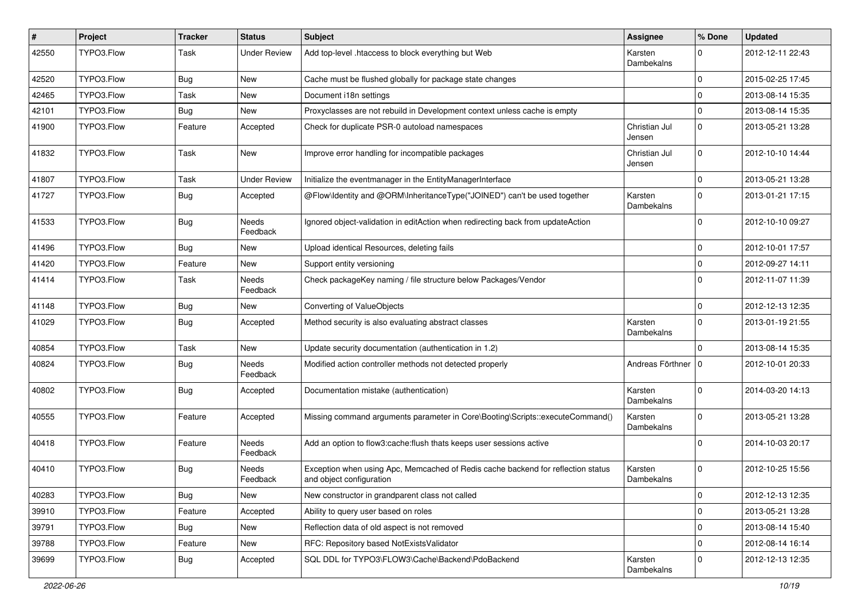| #     | Project    | <b>Tracker</b> | <b>Status</b>       | <b>Subject</b>                                                                                               | <b>Assignee</b>         | % Done              | <b>Updated</b>   |
|-------|------------|----------------|---------------------|--------------------------------------------------------------------------------------------------------------|-------------------------|---------------------|------------------|
| 42550 | TYPO3.Flow | Task           | <b>Under Review</b> | Add top-level .htaccess to block everything but Web                                                          | Karsten<br>Dambekalns   | 0                   | 2012-12-11 22:43 |
| 42520 | TYPO3.Flow | Bug            | New                 | Cache must be flushed globally for package state changes                                                     |                         | $\mathbf 0$         | 2015-02-25 17:45 |
| 42465 | TYPO3.Flow | <b>Task</b>    | New                 | Document i18n settings                                                                                       |                         | $\Omega$            | 2013-08-14 15:35 |
| 42101 | TYPO3.Flow | Bug            | New                 | Proxyclasses are not rebuild in Development context unless cache is empty                                    |                         | $\Omega$            | 2013-08-14 15:35 |
| 41900 | TYPO3.Flow | Feature        | Accepted            | Check for duplicate PSR-0 autoload namespaces                                                                | Christian Jul<br>Jensen | $\mathbf 0$         | 2013-05-21 13:28 |
| 41832 | TYPO3.Flow | Task           | New                 | Improve error handling for incompatible packages                                                             | Christian Jul<br>Jensen | $\mathbf 0$         | 2012-10-10 14:44 |
| 41807 | TYPO3.Flow | Task           | <b>Under Review</b> | Initialize the eventmanager in the EntityManagerInterface                                                    |                         | $\mathbf 0$         | 2013-05-21 13:28 |
| 41727 | TYPO3.Flow | Bug            | Accepted            | @Flow\Identity and @ORM\InheritanceType("JOINED") can't be used together                                     | Karsten<br>Dambekalns   | $\Omega$            | 2013-01-21 17:15 |
| 41533 | TYPO3.Flow | <b>Bug</b>     | Needs<br>Feedback   | Ignored object-validation in editAction when redirecting back from updateAction                              |                         | 0                   | 2012-10-10 09:27 |
| 41496 | TYPO3.Flow | <b>Bug</b>     | New                 | Upload identical Resources, deleting fails                                                                   |                         | $\mathbf 0$         | 2012-10-01 17:57 |
| 41420 | TYPO3.Flow | Feature        | <b>New</b>          | Support entity versioning                                                                                    |                         | $\mathbf 0$         | 2012-09-27 14:11 |
| 41414 | TYPO3.Flow | Task           | Needs<br>Feedback   | Check packageKey naming / file structure below Packages/Vendor                                               |                         | $\Omega$            | 2012-11-07 11:39 |
| 41148 | TYPO3.Flow | Bug            | New                 | Converting of ValueObjects                                                                                   |                         | $\mathbf 0$         | 2012-12-13 12:35 |
| 41029 | TYPO3.Flow | <b>Bug</b>     | Accepted            | Method security is also evaluating abstract classes                                                          | Karsten<br>Dambekalns   | $\mathbf 0$         | 2013-01-19 21:55 |
| 40854 | TYPO3.Flow | Task           | New                 | Update security documentation (authentication in 1.2)                                                        |                         | $\Omega$            | 2013-08-14 15:35 |
| 40824 | TYPO3.Flow | <b>Bug</b>     | Needs<br>Feedback   | Modified action controller methods not detected properly                                                     | Andreas Förthner   0    |                     | 2012-10-01 20:33 |
| 40802 | TYPO3.Flow | Bug            | Accepted            | Documentation mistake (authentication)                                                                       | Karsten<br>Dambekalns   | $\Omega$            | 2014-03-20 14:13 |
| 40555 | TYPO3.Flow | Feature        | Accepted            | Missing command arguments parameter in Core\Booting\Scripts::executeCommand()                                | Karsten<br>Dambekalns   | $\Omega$            | 2013-05-21 13:28 |
| 40418 | TYPO3.Flow | Feature        | Needs<br>Feedback   | Add an option to flow3:cache:flush thats keeps user sessions active                                          |                         | $\Omega$            | 2014-10-03 20:17 |
| 40410 | TYPO3.Flow | Bug            | Needs<br>Feedback   | Exception when using Apc, Memcached of Redis cache backend for reflection status<br>and object configuration | Karsten<br>Dambekalns   | $\Omega$            | 2012-10-25 15:56 |
| 40283 | TYPO3.Flow | Bug            | New                 | New constructor in grandparent class not called                                                              |                         | $\mathbf 0$         | 2012-12-13 12:35 |
| 39910 | TYPO3.Flow | Feature        | Accepted            | Ability to query user based on roles                                                                         |                         | $\mathsf{O}\xspace$ | 2013-05-21 13:28 |
| 39791 | TYPO3.Flow | <b>Bug</b>     | New                 | Reflection data of old aspect is not removed                                                                 |                         | $\mathbf 0$         | 2013-08-14 15:40 |
| 39788 | TYPO3.Flow | Feature        | New                 | RFC: Repository based NotExistsValidator                                                                     |                         | $\pmb{0}$           | 2012-08-14 16:14 |
| 39699 | TYPO3.Flow | Bug            | Accepted            | SQL DDL for TYPO3\FLOW3\Cache\Backend\PdoBackend                                                             | Karsten<br>Dambekalns   | $\mathbf 0$         | 2012-12-13 12:35 |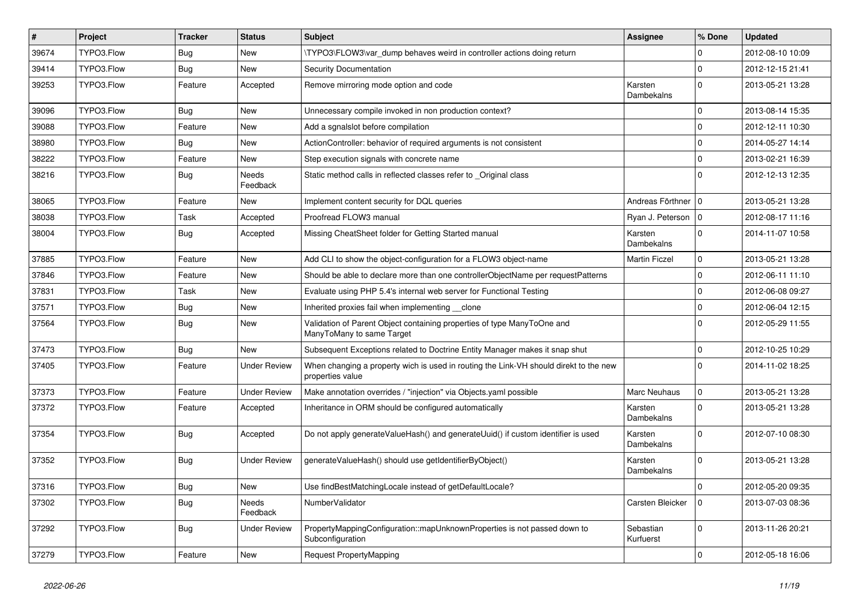| #     | Project    | <b>Tracker</b> | <b>Status</b>       | Subject                                                                                                   | <b>Assignee</b>        | % Done      | <b>Updated</b>   |
|-------|------------|----------------|---------------------|-----------------------------------------------------------------------------------------------------------|------------------------|-------------|------------------|
| 39674 | TYPO3.Flow | Bug            | New                 | \TYPO3\FLOW3\var_dump behaves weird in controller actions doing return                                    |                        | 0           | 2012-08-10 10:09 |
| 39414 | TYPO3.Flow | Bug            | <b>New</b>          | Security Documentation                                                                                    |                        | $\mathbf 0$ | 2012-12-15 21:41 |
| 39253 | TYPO3.Flow | Feature        | Accepted            | Remove mirroring mode option and code                                                                     | Karsten<br>Dambekalns  | $\Omega$    | 2013-05-21 13:28 |
| 39096 | TYPO3.Flow | Bug            | New                 | Unnecessary compile invoked in non production context?                                                    |                        | 0           | 2013-08-14 15:35 |
| 39088 | TYPO3.Flow | Feature        | New                 | Add a sgnalslot before compilation                                                                        |                        | 0           | 2012-12-11 10:30 |
| 38980 | TYPO3.Flow | Bug            | New                 | ActionController: behavior of required arguments is not consistent                                        |                        | 0           | 2014-05-27 14:14 |
| 38222 | TYPO3.Flow | Feature        | New                 | Step execution signals with concrete name                                                                 |                        | $\mathbf 0$ | 2013-02-21 16:39 |
| 38216 | TYPO3.Flow | Bug            | Needs<br>Feedback   | Static method calls in reflected classes refer to _Original class                                         |                        | $\mathbf 0$ | 2012-12-13 12:35 |
| 38065 | TYPO3.Flow | Feature        | New                 | Implement content security for DQL queries                                                                | Andreas Förthner   0   |             | 2013-05-21 13:28 |
| 38038 | TYPO3.Flow | Task           | Accepted            | Proofread FLOW3 manual                                                                                    | Ryan J. Peterson   0   |             | 2012-08-17 11:16 |
| 38004 | TYPO3.Flow | Bug            | Accepted            | Missing CheatSheet folder for Getting Started manual                                                      | Karsten<br>Dambekalns  | $\Omega$    | 2014-11-07 10:58 |
| 37885 | TYPO3.Flow | Feature        | New                 | Add CLI to show the object-configuration for a FLOW3 object-name                                          | <b>Martin Ficzel</b>   | $\mathbf 0$ | 2013-05-21 13:28 |
| 37846 | TYPO3.Flow | Feature        | New                 | Should be able to declare more than one controllerObjectName per requestPatterns                          |                        | $\mathbf 0$ | 2012-06-11 11:10 |
| 37831 | TYPO3.Flow | Task           | New                 | Evaluate using PHP 5.4's internal web server for Functional Testing                                       |                        | $\mathbf 0$ | 2012-06-08 09:27 |
| 37571 | TYPO3.Flow | Bug            | New                 | Inherited proxies fail when implementing clone                                                            |                        | 0           | 2012-06-04 12:15 |
| 37564 | TYPO3.Flow | Bug            | New                 | Validation of Parent Object containing properties of type ManyToOne and<br>ManyToMany to same Target      |                        | $\Omega$    | 2012-05-29 11:55 |
| 37473 | TYPO3.Flow | Bug            | New                 | Subsequent Exceptions related to Doctrine Entity Manager makes it snap shut                               |                        | $\mathbf 0$ | 2012-10-25 10:29 |
| 37405 | TYPO3.Flow | Feature        | <b>Under Review</b> | When changing a property wich is used in routing the Link-VH should direkt to the new<br>properties value |                        | $\mathbf 0$ | 2014-11-02 18:25 |
| 37373 | TYPO3.Flow | Feature        | <b>Under Review</b> | Make annotation overrides / "injection" via Objects.yaml possible                                         | Marc Neuhaus           | 0           | 2013-05-21 13:28 |
| 37372 | TYPO3.Flow | Feature        | Accepted            | Inheritance in ORM should be configured automatically                                                     | Karsten<br>Dambekalns  | 0           | 2013-05-21 13:28 |
| 37354 | TYPO3.Flow | Bug            | Accepted            | Do not apply generateValueHash() and generateUuid() if custom identifier is used                          | Karsten<br>Dambekalns  | $\Omega$    | 2012-07-10 08:30 |
| 37352 | TYPO3.Flow | Bug            | <b>Under Review</b> | generateValueHash() should use getIdentifierByObject()                                                    | Karsten<br>Dambekalns  | $\mathbf 0$ | 2013-05-21 13:28 |
| 37316 | TYPO3.Flow | <b>Bug</b>     | New                 | Use findBestMatchingLocale instead of getDefaultLocale?                                                   |                        |             | 2012-05-20 09:35 |
| 37302 | TYPO3.Flow | Bug            | Needs<br>Feedback   | NumberValidator                                                                                           | Carsten Bleicker       | l o         | 2013-07-03 08:36 |
| 37292 | TYPO3.Flow | <b>Bug</b>     | <b>Under Review</b> | PropertyMappingConfiguration::mapUnknownProperties is not passed down to<br>Subconfiguration              | Sebastian<br>Kurfuerst | $\mathbf 0$ | 2013-11-26 20:21 |
| 37279 | TYPO3.Flow | Feature        | New                 | Request PropertyMapping                                                                                   |                        | $\pmb{0}$   | 2012-05-18 16:06 |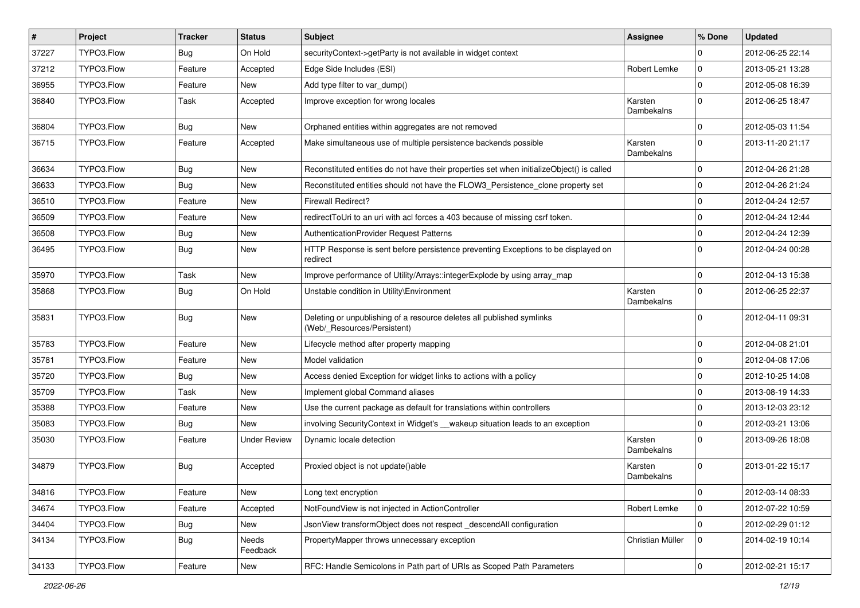| $\vert$ # | Project    | <b>Tracker</b> | <b>Status</b>       | Subject                                                                                              | <b>Assignee</b>       | % Done              | <b>Updated</b>   |
|-----------|------------|----------------|---------------------|------------------------------------------------------------------------------------------------------|-----------------------|---------------------|------------------|
| 37227     | TYPO3.Flow | Bug            | On Hold             | securityContext->getParty is not available in widget context                                         |                       | 0                   | 2012-06-25 22:14 |
| 37212     | TYPO3.Flow | Feature        | Accepted            | Edge Side Includes (ESI)                                                                             | Robert Lemke          | $\mathbf 0$         | 2013-05-21 13:28 |
| 36955     | TYPO3.Flow | Feature        | New                 | Add type filter to var dump()                                                                        |                       | $\mathbf 0$         | 2012-05-08 16:39 |
| 36840     | TYPO3.Flow | Task           | Accepted            | Improve exception for wrong locales                                                                  | Karsten<br>Dambekalns | $\mathbf 0$         | 2012-06-25 18:47 |
| 36804     | TYPO3.Flow | <b>Bug</b>     | New                 | Orphaned entities within aggregates are not removed                                                  |                       | $\mathbf 0$         | 2012-05-03 11:54 |
| 36715     | TYPO3.Flow | Feature        | Accepted            | Make simultaneous use of multiple persistence backends possible                                      | Karsten<br>Dambekalns | $\mathbf 0$         | 2013-11-20 21:17 |
| 36634     | TYPO3.Flow | <b>Bug</b>     | New                 | Reconstituted entities do not have their properties set when initializeObject() is called            |                       | $\mathbf 0$         | 2012-04-26 21:28 |
| 36633     | TYPO3.Flow | <b>Bug</b>     | New                 | Reconstituted entities should not have the FLOW3_Persistence_clone property set                      |                       | $\mathbf 0$         | 2012-04-26 21:24 |
| 36510     | TYPO3.Flow | Feature        | New                 | <b>Firewall Redirect?</b>                                                                            |                       | 0                   | 2012-04-24 12:57 |
| 36509     | TYPO3.Flow | Feature        | New                 | redirectToUri to an uri with acl forces a 403 because of missing csrf token.                         |                       | $\mathbf 0$         | 2012-04-24 12:44 |
| 36508     | TYPO3.Flow | Bug            | New                 | AuthenticationProvider Request Patterns                                                              |                       | 0                   | 2012-04-24 12:39 |
| 36495     | TYPO3.Flow | <b>Bug</b>     | New                 | HTTP Response is sent before persistence preventing Exceptions to be displayed on<br>redirect        |                       | $\mathbf 0$         | 2012-04-24 00:28 |
| 35970     | TYPO3.Flow | Task           | New                 | Improve performance of Utility/Arrays::integerExplode by using array_map                             |                       | $\mathbf 0$         | 2012-04-13 15:38 |
| 35868     | TYPO3.Flow | Bug            | On Hold             | Unstable condition in Utility\Environment                                                            | Karsten<br>Dambekalns | 0                   | 2012-06-25 22:37 |
| 35831     | TYPO3.Flow | <b>Bug</b>     | New                 | Deleting or unpublishing of a resource deletes all published symlinks<br>(Web/_Resources/Persistent) |                       | $\Omega$            | 2012-04-11 09:31 |
| 35783     | TYPO3.Flow | Feature        | New                 | Lifecycle method after property mapping                                                              |                       | $\mathbf 0$         | 2012-04-08 21:01 |
| 35781     | TYPO3.Flow | Feature        | New                 | Model validation                                                                                     |                       | $\mathbf 0$         | 2012-04-08 17:06 |
| 35720     | TYPO3.Flow | <b>Bug</b>     | New                 | Access denied Exception for widget links to actions with a policy                                    |                       | $\mathbf 0$         | 2012-10-25 14:08 |
| 35709     | TYPO3.Flow | Task           | New                 | Implement global Command aliases                                                                     |                       | $\mathbf 0$         | 2013-08-19 14:33 |
| 35388     | TYPO3.Flow | Feature        | New                 | Use the current package as default for translations within controllers                               |                       | 0                   | 2013-12-03 23:12 |
| 35083     | TYPO3.Flow | Bug            | New                 | involving SecurityContext in Widget's __wakeup situation leads to an exception                       |                       | 0                   | 2012-03-21 13:06 |
| 35030     | TYPO3.Flow | Feature        | <b>Under Review</b> | Dynamic locale detection                                                                             | Karsten<br>Dambekalns | $\mathbf 0$         | 2013-09-26 18:08 |
| 34879     | TYPO3.Flow | Bug            | Accepted            | Proxied object is not update()able                                                                   | Karsten<br>Dambekalns | $\Omega$            | 2013-01-22 15:17 |
| 34816     | TYPO3.Flow | Feature        | New                 | Long text encryption                                                                                 |                       | $\mathbf 0$         | 2012-03-14 08:33 |
| 34674     | TYPO3.Flow | Feature        | Accepted            | NotFoundView is not injected in ActionController                                                     | Robert Lemke          | $\mathbf 0$         | 2012-07-22 10:59 |
| 34404     | TYPO3.Flow | Bug            | New                 | JsonView transformObject does not respect_descendAll configuration                                   |                       | $\mathbf 0$         | 2012-02-29 01:12 |
| 34134     | TYPO3.Flow | <b>Bug</b>     | Needs<br>Feedback   | PropertyMapper throws unnecessary exception                                                          | Christian Müller      | $\mathbf 0$         | 2014-02-19 10:14 |
| 34133     | TYPO3.Flow | Feature        | New                 | RFC: Handle Semicolons in Path part of URIs as Scoped Path Parameters                                |                       | $\mathsf{O}\xspace$ | 2012-02-21 15:17 |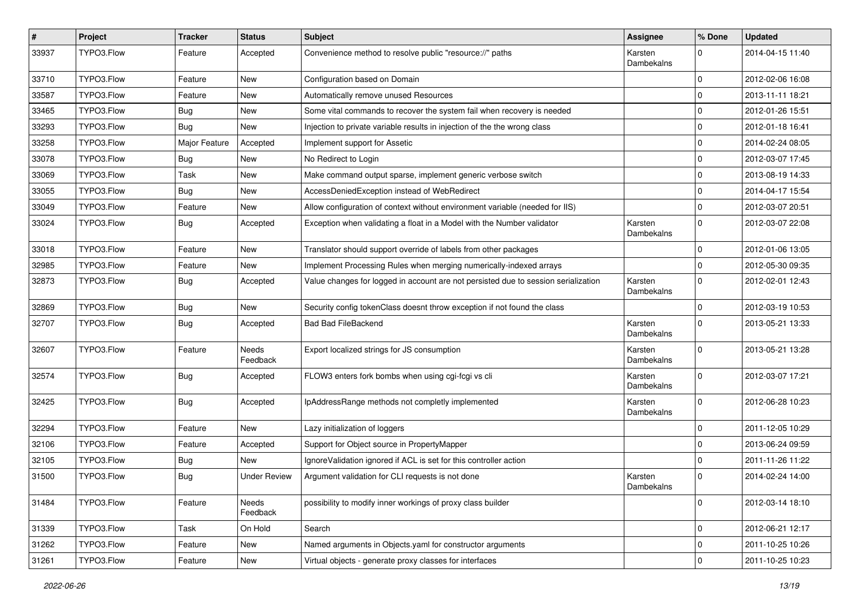| $\sharp$ | Project    | <b>Tracker</b> | <b>Status</b>            | Subject                                                                            | <b>Assignee</b>       | % Done         | <b>Updated</b>   |
|----------|------------|----------------|--------------------------|------------------------------------------------------------------------------------|-----------------------|----------------|------------------|
| 33937    | TYPO3.Flow | Feature        | Accepted                 | Convenience method to resolve public "resource://" paths                           | Karsten<br>Dambekalns | 0              | 2014-04-15 11:40 |
| 33710    | TYPO3.Flow | Feature        | New                      | Configuration based on Domain                                                      |                       | $\mathbf 0$    | 2012-02-06 16:08 |
| 33587    | TYPO3.Flow | Feature        | New                      | Automatically remove unused Resources                                              |                       | 0              | 2013-11-11 18:21 |
| 33465    | TYPO3.Flow | Bug            | New                      | Some vital commands to recover the system fail when recovery is needed             |                       | 0              | 2012-01-26 15:51 |
| 33293    | TYPO3.Flow | Bug            | New                      | Injection to private variable results in injection of the the wrong class          |                       | 0              | 2012-01-18 16:41 |
| 33258    | TYPO3.Flow | Major Feature  | Accepted                 | Implement support for Assetic                                                      |                       | $\mathbf 0$    | 2014-02-24 08:05 |
| 33078    | TYPO3.Flow | Bug            | New                      | No Redirect to Login                                                               |                       | 0              | 2012-03-07 17:45 |
| 33069    | TYPO3.Flow | Task           | New                      | Make command output sparse, implement generic verbose switch                       |                       | 0              | 2013-08-19 14:33 |
| 33055    | TYPO3.Flow | Bug            | New                      | AccessDeniedException instead of WebRedirect                                       |                       | 0              | 2014-04-17 15:54 |
| 33049    | TYPO3.Flow | Feature        | New                      | Allow configuration of context without environment variable (needed for IIS)       |                       | 0              | 2012-03-07 20:51 |
| 33024    | TYPO3.Flow | Bug            | Accepted                 | Exception when validating a float in a Model with the Number validator             | Karsten<br>Dambekalns | $\mathbf 0$    | 2012-03-07 22:08 |
| 33018    | TYPO3.Flow | Feature        | New                      | Translator should support override of labels from other packages                   |                       | $\mathbf 0$    | 2012-01-06 13:05 |
| 32985    | TYPO3.Flow | Feature        | New                      | Implement Processing Rules when merging numerically-indexed arrays                 |                       | $\mathbf 0$    | 2012-05-30 09:35 |
| 32873    | TYPO3.Flow | Bug            | Accepted                 | Value changes for logged in account are not persisted due to session serialization | Karsten<br>Dambekalns | $\mathbf 0$    | 2012-02-01 12:43 |
| 32869    | TYPO3.Flow | Bug            | New                      | Security config tokenClass doesnt throw exception if not found the class           |                       | 0              | 2012-03-19 10:53 |
| 32707    | TYPO3.Flow | Bug            | Accepted                 | <b>Bad Bad FileBackend</b>                                                         | Karsten<br>Dambekalns | $\mathbf 0$    | 2013-05-21 13:33 |
| 32607    | TYPO3.Flow | Feature        | <b>Needs</b><br>Feedback | Export localized strings for JS consumption                                        | Karsten<br>Dambekalns | $\mathbf 0$    | 2013-05-21 13:28 |
| 32574    | TYPO3.Flow | Bug            | Accepted                 | FLOW3 enters fork bombs when using cgi-fcgi vs cli                                 | Karsten<br>Dambekalns | $\overline{0}$ | 2012-03-07 17:21 |
| 32425    | TYPO3.Flow | Bug            | Accepted                 | IpAddressRange methods not completly implemented                                   | Karsten<br>Dambekalns | $\Omega$       | 2012-06-28 10:23 |
| 32294    | TYPO3.Flow | Feature        | New                      | Lazy initialization of loggers                                                     |                       | 0              | 2011-12-05 10:29 |
| 32106    | TYPO3.Flow | Feature        | Accepted                 | Support for Object source in PropertyMapper                                        |                       | $\pmb{0}$      | 2013-06-24 09:59 |
| 32105    | TYPO3.Flow | Bug            | New                      | IgnoreValidation ignored if ACL is set for this controller action                  |                       | 0              | 2011-11-26 11:22 |
| 31500    | TYPO3.Flow | <b>Bug</b>     | <b>Under Review</b>      | Argument validation for CLI requests is not done                                   | Karsten<br>Dambekalns | 0              | 2014-02-24 14:00 |
| 31484    | TYPO3.Flow | Feature        | Needs<br>Feedback        | possibility to modify inner workings of proxy class builder                        |                       | $\mathbf 0$    | 2012-03-14 18:10 |
| 31339    | TYPO3.Flow | Task           | On Hold                  | Search                                                                             |                       | $\mathbf 0$    | 2012-06-21 12:17 |
| 31262    | TYPO3.Flow | Feature        | New                      | Named arguments in Objects yaml for constructor arguments                          |                       | $\mathbf 0$    | 2011-10-25 10:26 |
| 31261    | TYPO3.Flow | Feature        | New                      | Virtual objects - generate proxy classes for interfaces                            |                       | $\mathsf{O}$   | 2011-10-25 10:23 |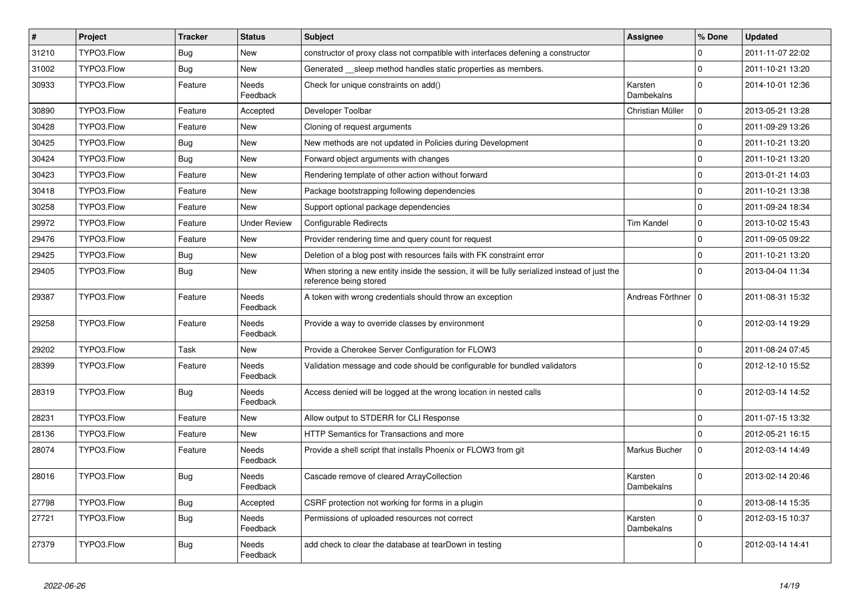| $\sharp$ | Project    | <b>Tracker</b> | <b>Status</b>            | <b>Subject</b>                                                                                                          | <b>Assignee</b>       | % Done              | <b>Updated</b>   |
|----------|------------|----------------|--------------------------|-------------------------------------------------------------------------------------------------------------------------|-----------------------|---------------------|------------------|
| 31210    | TYPO3.Flow | Bug            | New                      | constructor of proxy class not compatible with interfaces defening a constructor                                        |                       | $\Omega$            | 2011-11-07 22:02 |
| 31002    | TYPO3.Flow | Bug            | New                      | Generated __sleep method handles static properties as members.                                                          |                       | $\Omega$            | 2011-10-21 13:20 |
| 30933    | TYPO3.Flow | Feature        | Needs<br>Feedback        | Check for unique constraints on add()                                                                                   | Karsten<br>Dambekalns | $\Omega$            | 2014-10-01 12:36 |
| 30890    | TYPO3.Flow | Feature        | Accepted                 | Developer Toolbar                                                                                                       | Christian Müller      | $\mathsf{O}\xspace$ | 2013-05-21 13:28 |
| 30428    | TYPO3.Flow | Feature        | <b>New</b>               | Cloning of request arguments                                                                                            |                       | $\mathbf 0$         | 2011-09-29 13:26 |
| 30425    | TYPO3.Flow | Bug            | New                      | New methods are not updated in Policies during Development                                                              |                       | $\mathbf 0$         | 2011-10-21 13:20 |
| 30424    | TYPO3.Flow | Bug            | New                      | Forward object arguments with changes                                                                                   |                       | $\mathbf 0$         | 2011-10-21 13:20 |
| 30423    | TYPO3.Flow | Feature        | <b>New</b>               | Rendering template of other action without forward                                                                      |                       | $\mathbf 0$         | 2013-01-21 14:03 |
| 30418    | TYPO3.Flow | Feature        | New                      | Package bootstrapping following dependencies                                                                            |                       | $\mathbf 0$         | 2011-10-21 13:38 |
| 30258    | TYPO3.Flow | Feature        | <b>New</b>               | Support optional package dependencies                                                                                   |                       | $\Omega$            | 2011-09-24 18:34 |
| 29972    | TYPO3.Flow | Feature        | <b>Under Review</b>      | <b>Configurable Redirects</b>                                                                                           | <b>Tim Kandel</b>     | $\Omega$            | 2013-10-02 15:43 |
| 29476    | TYPO3.Flow | Feature        | <b>New</b>               | Provider rendering time and query count for request                                                                     |                       | $\Omega$            | 2011-09-05 09:22 |
| 29425    | TYPO3.Flow | Bug            | <b>New</b>               | Deletion of a blog post with resources fails with FK constraint error                                                   |                       | $\Omega$            | 2011-10-21 13:20 |
| 29405    | TYPO3.Flow | Bug            | <b>New</b>               | When storing a new entity inside the session, it will be fully serialized instead of just the<br>reference being stored |                       | $\Omega$            | 2013-04-04 11:34 |
| 29387    | TYPO3.Flow | Feature        | Needs<br>Feedback        | A token with wrong credentials should throw an exception                                                                | Andreas Förthner   0  |                     | 2011-08-31 15:32 |
| 29258    | TYPO3.Flow | Feature        | Needs<br>Feedback        | Provide a way to override classes by environment                                                                        |                       | $\Omega$            | 2012-03-14 19:29 |
| 29202    | TYPO3.Flow | Task           | New                      | Provide a Cherokee Server Configuration for FLOW3                                                                       |                       | $\Omega$            | 2011-08-24 07:45 |
| 28399    | TYPO3.Flow | Feature        | Needs<br>Feedback        | Validation message and code should be configurable for bundled validators                                               |                       | $\Omega$            | 2012-12-10 15:52 |
| 28319    | TYPO3.Flow | Bug            | Needs<br>Feedback        | Access denied will be logged at the wrong location in nested calls                                                      |                       | $\Omega$            | 2012-03-14 14:52 |
| 28231    | TYPO3.Flow | Feature        | <b>New</b>               | Allow output to STDERR for CLI Response                                                                                 |                       | $\mathbf 0$         | 2011-07-15 13:32 |
| 28136    | TYPO3.Flow | Feature        | <b>New</b>               | HTTP Semantics for Transactions and more                                                                                |                       | $\mathbf 0$         | 2012-05-21 16:15 |
| 28074    | TYPO3.Flow | Feature        | Needs<br>Feedback        | Provide a shell script that installs Phoenix or FLOW3 from git                                                          | Markus Bucher         | $\mathbf 0$         | 2012-03-14 14:49 |
| 28016    | TYPO3.Flow | Bug            | Needs<br>Feedback        | Cascade remove of cleared ArrayCollection                                                                               | Karsten<br>Dambekalns | $\Omega$            | 2013-02-14 20:46 |
| 27798    | TYPO3.Flow | Bug            | Accepted                 | CSRF protection not working for forms in a plugin                                                                       |                       | $\mathbf 0$         | 2013-08-14 15:35 |
| 27721    | TYPO3.Flow | Bug            | Needs<br>Feedback        | Permissions of uploaded resources not correct                                                                           | Karsten<br>Dambekalns | $\Omega$            | 2012-03-15 10:37 |
| 27379    | TYPO3.Flow | <b>Bug</b>     | <b>Needs</b><br>Feedback | add check to clear the database at tearDown in testing                                                                  |                       | $\Omega$            | 2012-03-14 14:41 |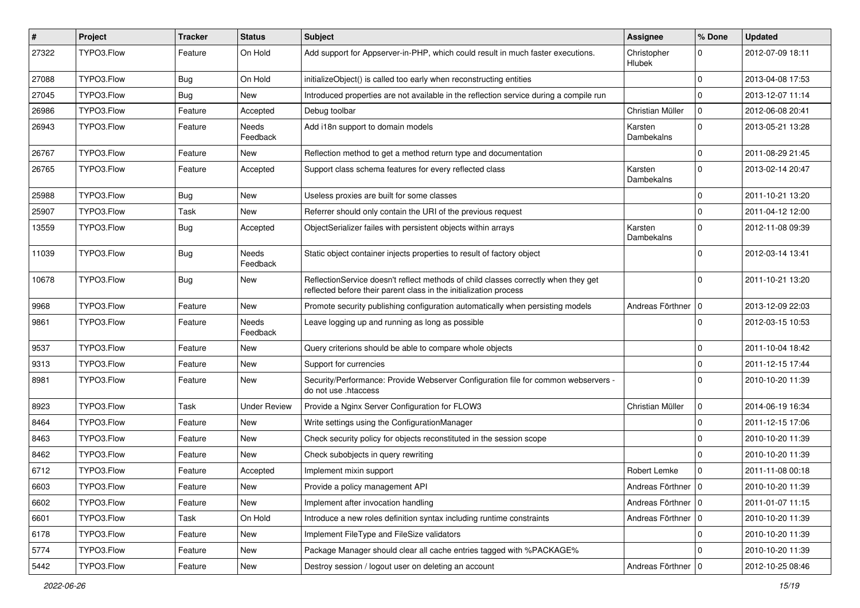| $\vert$ # | Project    | <b>Tracker</b> | <b>Status</b>       | Subject                                                                                                                                                 | Assignee                     | % Done      | <b>Updated</b>   |
|-----------|------------|----------------|---------------------|---------------------------------------------------------------------------------------------------------------------------------------------------------|------------------------------|-------------|------------------|
| 27322     | TYPO3.Flow | Feature        | On Hold             | Add support for Appserver-in-PHP, which could result in much faster executions.                                                                         | Christopher<br><b>Hlubek</b> | $\Omega$    | 2012-07-09 18:11 |
| 27088     | TYPO3.Flow | Bug            | On Hold             | initializeObject() is called too early when reconstructing entities                                                                                     |                              | $\mathbf 0$ | 2013-04-08 17:53 |
| 27045     | TYPO3.Flow | Bug            | New                 | Introduced properties are not available in the reflection service during a compile run                                                                  |                              | $\Omega$    | 2013-12-07 11:14 |
| 26986     | TYPO3.Flow | Feature        | Accepted            | Debug toolbar                                                                                                                                           | Christian Müller             | $\mathbf 0$ | 2012-06-08 20:41 |
| 26943     | TYPO3.Flow | Feature        | Needs<br>Feedback   | Add i18n support to domain models                                                                                                                       | Karsten<br>Dambekalns        | $\mathbf 0$ | 2013-05-21 13:28 |
| 26767     | TYPO3.Flow | Feature        | New                 | Reflection method to get a method return type and documentation                                                                                         |                              | $\mathbf 0$ | 2011-08-29 21:45 |
| 26765     | TYPO3.Flow | Feature        | Accepted            | Support class schema features for every reflected class                                                                                                 | Karsten<br>Dambekalns        | $\Omega$    | 2013-02-14 20:47 |
| 25988     | TYPO3.Flow | Bug            | New                 | Useless proxies are built for some classes                                                                                                              |                              | $\mathbf 0$ | 2011-10-21 13:20 |
| 25907     | TYPO3.Flow | Task           | New                 | Referrer should only contain the URI of the previous request                                                                                            |                              | $\mathbf 0$ | 2011-04-12 12:00 |
| 13559     | TYPO3.Flow | Bug            | Accepted            | ObjectSerializer failes with persistent objects within arrays                                                                                           | Karsten<br>Dambekalns        | $\Omega$    | 2012-11-08 09:39 |
| 11039     | TYPO3.Flow | Bug            | Needs<br>Feedback   | Static object container injects properties to result of factory object                                                                                  |                              | $\Omega$    | 2012-03-14 13:41 |
| 10678     | TYPO3.Flow | Bug            | New                 | ReflectionService doesn't reflect methods of child classes correctly when they get<br>reflected before their parent class in the initialization process |                              | $\Omega$    | 2011-10-21 13:20 |
| 9968      | TYPO3.Flow | Feature        | New                 | Promote security publishing configuration automatically when persisting models                                                                          | Andreas Förthner   0         |             | 2013-12-09 22:03 |
| 9861      | TYPO3.Flow | Feature        | Needs<br>Feedback   | Leave logging up and running as long as possible                                                                                                        |                              | $\Omega$    | 2012-03-15 10:53 |
| 9537      | TYPO3.Flow | Feature        | New                 | Query criterions should be able to compare whole objects                                                                                                |                              | $\mathbf 0$ | 2011-10-04 18:42 |
| 9313      | TYPO3.Flow | Feature        | New                 | Support for currencies                                                                                                                                  |                              | $\Omega$    | 2011-12-15 17:44 |
| 8981      | TYPO3.Flow | Feature        | New                 | Security/Performance: Provide Webserver Configuration file for common webservers -<br>do not use .htaccess                                              |                              | $\Omega$    | 2010-10-20 11:39 |
| 8923      | TYPO3.Flow | Task           | <b>Under Review</b> | Provide a Nginx Server Configuration for FLOW3                                                                                                          | Christian Müller             | $\mathbf 0$ | 2014-06-19 16:34 |
| 8464      | TYPO3.Flow | Feature        | New                 | Write settings using the ConfigurationManager                                                                                                           |                              | 0           | 2011-12-15 17:06 |
| 8463      | TYPO3.Flow | Feature        | New                 | Check security policy for objects reconstituted in the session scope                                                                                    |                              | $\Omega$    | 2010-10-20 11:39 |
| 8462      | TYPO3.Flow | Feature        | New                 | Check subobjects in query rewriting                                                                                                                     |                              | $\Omega$    | 2010-10-20 11:39 |
| 6712      | TYPO3.Flow | Feature        | Accepted            | Implement mixin support                                                                                                                                 | Robert Lemke                 | $\mathbf 0$ | 2011-11-08 00:18 |
| 6603      | TYPO3.Flow | Feature        | New                 | Provide a policy management API                                                                                                                         | Andreas Förthner   0         |             | 2010-10-20 11:39 |
| 6602      | TYPO3.Flow | Feature        | New                 | Implement after invocation handling                                                                                                                     | Andreas Förthner   0         |             | 2011-01-07 11:15 |
| 6601      | TYPO3.Flow | Task           | On Hold             | Introduce a new roles definition syntax including runtime constraints                                                                                   | Andreas Förthner   0         |             | 2010-10-20 11:39 |
| 6178      | TYPO3.Flow | Feature        | New                 | Implement FileType and FileSize validators                                                                                                              |                              | $\mathbf 0$ | 2010-10-20 11:39 |
| 5774      | TYPO3.Flow | Feature        | New                 | Package Manager should clear all cache entries tagged with %PACKAGE%                                                                                    |                              | $\mathbf 0$ | 2010-10-20 11:39 |
| 5442      | TYPO3.Flow | Feature        | New                 | Destroy session / logout user on deleting an account                                                                                                    | Andreas Förthner   0         |             | 2012-10-25 08:46 |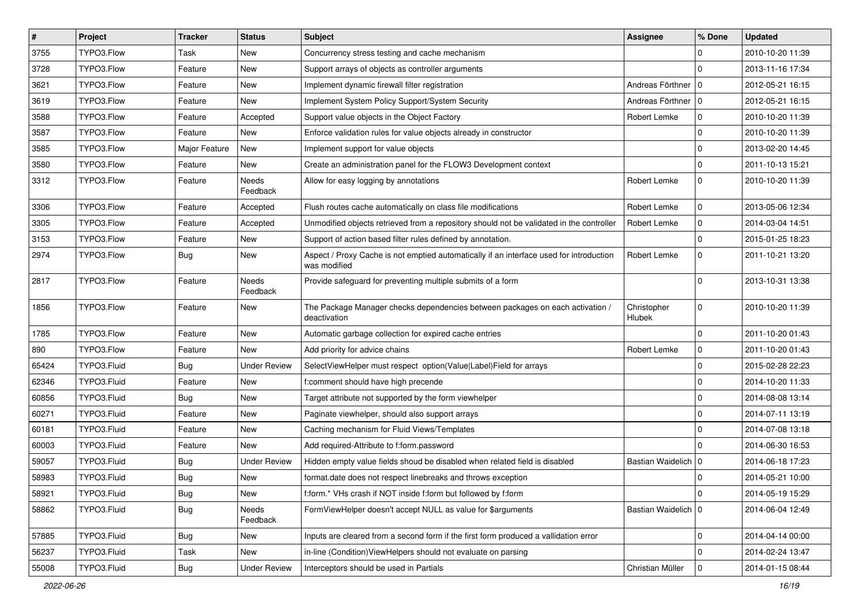| $\vert$ # | Project     | <b>Tracker</b> | <b>Status</b>       | <b>Subject</b>                                                                                          | <b>Assignee</b>       | % Done      | <b>Updated</b>   |
|-----------|-------------|----------------|---------------------|---------------------------------------------------------------------------------------------------------|-----------------------|-------------|------------------|
| 3755      | TYPO3.Flow  | Task           | New                 | Concurrency stress testing and cache mechanism                                                          |                       | 0           | 2010-10-20 11:39 |
| 3728      | TYPO3.Flow  | Feature        | <b>New</b>          | Support arrays of objects as controller arguments                                                       |                       | $\Omega$    | 2013-11-16 17:34 |
| 3621      | TYPO3.Flow  | Feature        | New                 | Implement dynamic firewall filter registration                                                          | Andreas Förthner   0  |             | 2012-05-21 16:15 |
| 3619      | TYPO3.Flow  | Feature        | New                 | Implement System Policy Support/System Security                                                         | Andreas Förthner      | $\mathbf 0$ | 2012-05-21 16:15 |
| 3588      | TYPO3.Flow  | Feature        | Accepted            | Support value objects in the Object Factory                                                             | Robert Lemke          | $\mathbf 0$ | 2010-10-20 11:39 |
| 3587      | TYPO3.Flow  | Feature        | New                 | Enforce validation rules for value objects already in constructor                                       |                       | $\mathbf 0$ | 2010-10-20 11:39 |
| 3585      | TYPO3.Flow  | Major Feature  | New                 | Implement support for value objects                                                                     |                       | $\mathbf 0$ | 2013-02-20 14:45 |
| 3580      | TYPO3.Flow  | Feature        | New                 | Create an administration panel for the FLOW3 Development context                                        |                       | $\mathbf 0$ | 2011-10-13 15:21 |
| 3312      | TYPO3.Flow  | Feature        | Needs<br>Feedback   | Allow for easy logging by annotations                                                                   | Robert Lemke          | $\mathbf 0$ | 2010-10-20 11:39 |
| 3306      | TYPO3.Flow  | Feature        | Accepted            | Flush routes cache automatically on class file modifications                                            | Robert Lemke          | $\mathbf 0$ | 2013-05-06 12:34 |
| 3305      | TYPO3.Flow  | Feature        | Accepted            | Unmodified objects retrieved from a repository should not be validated in the controller                | Robert Lemke          | $\mathbf 0$ | 2014-03-04 14:51 |
| 3153      | TYPO3.Flow  | Feature        | New                 | Support of action based filter rules defined by annotation.                                             |                       | $\mathbf 0$ | 2015-01-25 18:23 |
| 2974      | TYPO3.Flow  | Bug            | New                 | Aspect / Proxy Cache is not emptied automatically if an interface used for introduction<br>was modified | Robert Lemke          | 0           | 2011-10-21 13:20 |
| 2817      | TYPO3.Flow  | Feature        | Needs<br>Feedback   | Provide safeguard for preventing multiple submits of a form                                             |                       | $\Omega$    | 2013-10-31 13:38 |
| 1856      | TYPO3.Flow  | Feature        | New                 | The Package Manager checks dependencies between packages on each activation /<br>deactivation           | Christopher<br>Hlubek | $\mathbf 0$ | 2010-10-20 11:39 |
| 1785      | TYPO3.Flow  | Feature        | New                 | Automatic garbage collection for expired cache entries                                                  |                       | $\mathbf 0$ | 2011-10-20 01:43 |
| 890       | TYPO3.Flow  | Feature        | <b>New</b>          | Add priority for advice chains                                                                          | Robert Lemke          | $\mathbf 0$ | 2011-10-20 01:43 |
| 65424     | TYPO3.Fluid | Bug            | <b>Under Review</b> | SelectViewHelper must respect option(Value Label)Field for arrays                                       |                       | $\mathbf 0$ | 2015-02-28 22:23 |
| 62346     | TYPO3.Fluid | Feature        | New                 | f:comment should have high precende                                                                     |                       | $\mathbf 0$ | 2014-10-20 11:33 |
| 60856     | TYPO3.Fluid | Bug            | New                 | Target attribute not supported by the form viewhelper                                                   |                       | 0           | 2014-08-08 13:14 |
| 60271     | TYPO3.Fluid | Feature        | New                 | Paginate viewhelper, should also support arrays                                                         |                       | 0           | 2014-07-11 13:19 |
| 60181     | TYPO3.Fluid | Feature        | <b>New</b>          | Caching mechanism for Fluid Views/Templates                                                             |                       | $\Omega$    | 2014-07-08 13:18 |
| 60003     | TYPO3.Fluid | Feature        | New                 | Add required-Attribute to f:form.password                                                               |                       | $\Omega$    | 2014-06-30 16:53 |
| 59057     | TYPO3.Fluid | Bug            | <b>Under Review</b> | Hidden empty value fields shoud be disabled when related field is disabled                              | Bastian Waidelich   0 |             | 2014-06-18 17:23 |
| 58983     | TYPO3.Fluid | Bug            | New                 | format.date does not respect linebreaks and throws exception                                            |                       | 0           | 2014-05-21 10:00 |
| 58921     | TYPO3.Fluid | <b>Bug</b>     | New                 | f:form.* VHs crash if NOT inside f:form but followed by f:form                                          |                       | 0           | 2014-05-19 15:29 |
| 58862     | TYPO3.Fluid | <b>Bug</b>     | Needs<br>Feedback   | FormViewHelper doesn't accept NULL as value for \$arguments                                             | Bastian Waidelich 0   |             | 2014-06-04 12:49 |
| 57885     | TYPO3.Fluid | <b>Bug</b>     | New                 | Inputs are cleared from a second form if the first form produced a vallidation error                    |                       | 0           | 2014-04-14 00:00 |
| 56237     | TYPO3.Fluid | Task           | New                 | in-line (Condition) ViewHelpers should not evaluate on parsing                                          |                       | 0           | 2014-02-24 13:47 |
| 55008     | TYPO3.Fluid | Bug            | <b>Under Review</b> | Interceptors should be used in Partials                                                                 | Christian Müller      | $\mathbf 0$ | 2014-01-15 08:44 |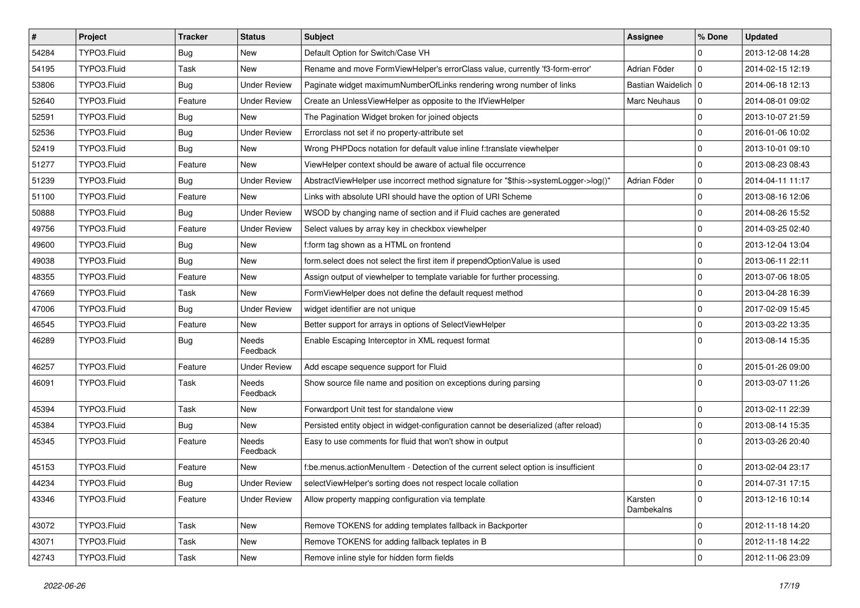| $\vert$ # | Project     | <b>Tracker</b> | <b>Status</b>            | <b>Subject</b>                                                                        | <b>Assignee</b>       | % Done              | <b>Updated</b>   |
|-----------|-------------|----------------|--------------------------|---------------------------------------------------------------------------------------|-----------------------|---------------------|------------------|
| 54284     | TYPO3.Fluid | Bug            | New                      | Default Option for Switch/Case VH                                                     |                       | 0                   | 2013-12-08 14:28 |
| 54195     | TYPO3.Fluid | Task           | New                      | Rename and move FormViewHelper's errorClass value, currently 'f3-form-error'          | Adrian Föder          | $\mathbf 0$         | 2014-02-15 12:19 |
| 53806     | TYPO3.Fluid | Bug            | <b>Under Review</b>      | Paginate widget maximumNumberOfLinks rendering wrong number of links                  | Bastian Waidelich   0 |                     | 2014-06-18 12:13 |
| 52640     | TYPO3.Fluid | Feature        | <b>Under Review</b>      | Create an UnlessViewHelper as opposite to the IfViewHelper                            | Marc Neuhaus          | $\mathbf 0$         | 2014-08-01 09:02 |
| 52591     | TYPO3.Fluid | Bug            | New                      | The Pagination Widget broken for joined objects                                       |                       | 0                   | 2013-10-07 21:59 |
| 52536     | TYPO3.Fluid | Bug            | <b>Under Review</b>      | Errorclass not set if no property-attribute set                                       |                       | $\mathbf 0$         | 2016-01-06 10:02 |
| 52419     | TYPO3.Fluid | Bug            | New                      | Wrong PHPDocs notation for default value inline f:translate viewhelper                |                       | $\mathbf 0$         | 2013-10-01 09:10 |
| 51277     | TYPO3.Fluid | Feature        | New                      | ViewHelper context should be aware of actual file occurrence                          |                       | $\mathbf 0$         | 2013-08-23 08:43 |
| 51239     | TYPO3.Fluid | Bug            | <b>Under Review</b>      | AbstractViewHelper use incorrect method signature for "\$this->systemLogger->log()"   | Adrian Föder          | $\mathbf 0$         | 2014-04-11 11:17 |
| 51100     | TYPO3.Fluid | Feature        | New                      | Links with absolute URI should have the option of URI Scheme                          |                       | $\mathbf 0$         | 2013-08-16 12:06 |
| 50888     | TYPO3.Fluid | Bug            | <b>Under Review</b>      | WSOD by changing name of section and if Fluid caches are generated                    |                       | $\mathsf{O}\xspace$ | 2014-08-26 15:52 |
| 49756     | TYPO3.Fluid | Feature        | <b>Under Review</b>      | Select values by array key in checkbox viewhelper                                     |                       | $\mathbf 0$         | 2014-03-25 02:40 |
| 49600     | TYPO3.Fluid | Bug            | <b>New</b>               | f:form tag shown as a HTML on frontend                                                |                       | $\mathbf 0$         | 2013-12-04 13:04 |
| 49038     | TYPO3.Fluid | Bug            | New                      | form.select does not select the first item if prependOptionValue is used              |                       | $\mathbf 0$         | 2013-06-11 22:11 |
| 48355     | TYPO3.Fluid | Feature        | New                      | Assign output of viewhelper to template variable for further processing.              |                       | $\mathbf 0$         | 2013-07-06 18:05 |
| 47669     | TYPO3.Fluid | Task           | New                      | FormViewHelper does not define the default request method                             |                       | $\mathbf 0$         | 2013-04-28 16:39 |
| 47006     | TYPO3.Fluid | Bug            | <b>Under Review</b>      | widget identifier are not unique                                                      |                       | 0                   | 2017-02-09 15:45 |
| 46545     | TYPO3.Fluid | Feature        | New                      | Better support for arrays in options of SelectViewHelper                              |                       | $\mathbf 0$         | 2013-03-22 13:35 |
| 46289     | TYPO3.Fluid | Bug            | Needs<br>Feedback        | Enable Escaping Interceptor in XML request format                                     |                       | $\Omega$            | 2013-08-14 15:35 |
| 46257     | TYPO3.Fluid | Feature        | <b>Under Review</b>      | Add escape sequence support for Fluid                                                 |                       | $\mathbf 0$         | 2015-01-26 09:00 |
| 46091     | TYPO3.Fluid | Task           | Needs<br>Feedback        | Show source file name and position on exceptions during parsing                       |                       | $\Omega$            | 2013-03-07 11:26 |
| 45394     | TYPO3.Fluid | Task           | New                      | Forwardport Unit test for standalone view                                             |                       | $\mathbf 0$         | 2013-02-11 22:39 |
| 45384     | TYPO3.Fluid | Bug            | New                      | Persisted entity object in widget-configuration cannot be deserialized (after reload) |                       | $\mathsf{O}\xspace$ | 2013-08-14 15:35 |
| 45345     | TYPO3.Fluid | Feature        | <b>Needs</b><br>Feedback | Easy to use comments for fluid that won't show in output                              |                       | $\Omega$            | 2013-03-26 20:40 |
| 45153     | TYPO3.Fluid | Feature        | New                      | f:be.menus.actionMenuItem - Detection of the current select option is insufficient    |                       | 0                   | 2013-02-04 23:17 |
| 44234     | TYPO3.Fluid | Bug            | <b>Under Review</b>      | selectViewHelper's sorting does not respect locale collation                          |                       | $\pmb{0}$           | 2014-07-31 17:15 |
| 43346     | TYPO3.Fluid | Feature        | Under Review             | Allow property mapping configuration via template                                     | Karsten<br>Dambekalns | $\mathbf 0$         | 2013-12-16 10:14 |
| 43072     | TYPO3.Fluid | Task           | New                      | Remove TOKENS for adding templates fallback in Backporter                             |                       | $\mathbf 0$         | 2012-11-18 14:20 |
| 43071     | TYPO3.Fluid | Task           | New                      | Remove TOKENS for adding fallback teplates in B                                       |                       | $\mathsf{O}\xspace$ | 2012-11-18 14:22 |
| 42743     | TYPO3.Fluid | Task           | New                      | Remove inline style for hidden form fields                                            |                       | $\mathbf 0$         | 2012-11-06 23:09 |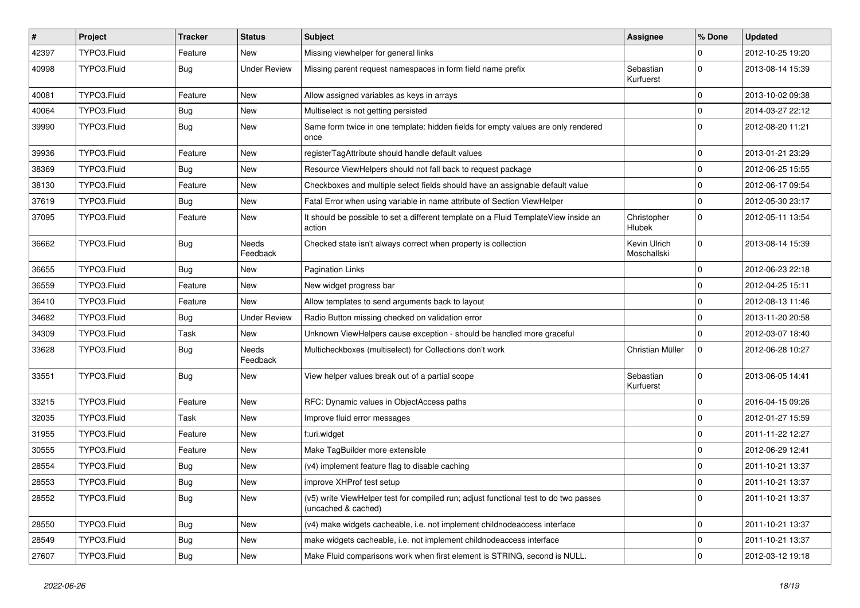| #     | Project     | <b>Tracker</b> | <b>Status</b>       | Subject                                                                                                     | <b>Assignee</b>             | % Done       | <b>Updated</b>   |
|-------|-------------|----------------|---------------------|-------------------------------------------------------------------------------------------------------------|-----------------------------|--------------|------------------|
| 42397 | TYPO3.Fluid | Feature        | New                 | Missing viewhelper for general links                                                                        |                             | 0            | 2012-10-25 19:20 |
| 40998 | TYPO3.Fluid | <b>Bug</b>     | <b>Under Review</b> | Missing parent request namespaces in form field name prefix                                                 | Sebastian<br>Kurfuerst      | $\mathbf 0$  | 2013-08-14 15:39 |
| 40081 | TYPO3.Fluid | Feature        | New                 | Allow assigned variables as keys in arrays                                                                  |                             | $\mathbf{0}$ | 2013-10-02 09:38 |
| 40064 | TYPO3.Fluid | Bug            | New                 | Multiselect is not getting persisted                                                                        |                             | $\mathbf{0}$ | 2014-03-27 22:12 |
| 39990 | TYPO3.Fluid | <b>Bug</b>     | New                 | Same form twice in one template: hidden fields for empty values are only rendered<br>once                   |                             | $\mathbf 0$  | 2012-08-20 11:21 |
| 39936 | TYPO3.Fluid | Feature        | New                 | registerTagAttribute should handle default values                                                           |                             | 0            | 2013-01-21 23:29 |
| 38369 | TYPO3.Fluid | Bug            | New                 | Resource ViewHelpers should not fall back to request package                                                |                             | 0            | 2012-06-25 15:55 |
| 38130 | TYPO3.Fluid | Feature        | New                 | Checkboxes and multiple select fields should have an assignable default value                               |                             | $\mathbf 0$  | 2012-06-17 09:54 |
| 37619 | TYPO3.Fluid | Bug            | New                 | Fatal Error when using variable in name attribute of Section ViewHelper                                     |                             | $\mathbf 0$  | 2012-05-30 23:17 |
| 37095 | TYPO3.Fluid | Feature        | New                 | It should be possible to set a different template on a Fluid TemplateView inside an<br>action               | Christopher<br>Hlubek       | $\mathbf{0}$ | 2012-05-11 13:54 |
| 36662 | TYPO3.Fluid | <b>Bug</b>     | Needs<br>Feedback   | Checked state isn't always correct when property is collection                                              | Kevin Ulrich<br>Moschallski | 0            | 2013-08-14 15:39 |
| 36655 | TYPO3.Fluid | Bug            | New                 | <b>Pagination Links</b>                                                                                     |                             | $\mathbf{0}$ | 2012-06-23 22:18 |
| 36559 | TYPO3.Fluid | Feature        | New                 | New widget progress bar                                                                                     |                             | 0            | 2012-04-25 15:11 |
| 36410 | TYPO3.Fluid | Feature        | New                 | Allow templates to send arguments back to layout                                                            |                             | 0            | 2012-08-13 11:46 |
| 34682 | TYPO3.Fluid | Bug            | <b>Under Review</b> | Radio Button missing checked on validation error                                                            |                             | 0            | 2013-11-20 20:58 |
| 34309 | TYPO3.Fluid | Task           | New                 | Unknown ViewHelpers cause exception - should be handled more graceful                                       |                             | $\mathbf{0}$ | 2012-03-07 18:40 |
| 33628 | TYPO3.Fluid | Bug            | Needs<br>Feedback   | Multicheckboxes (multiselect) for Collections don't work                                                    | Christian Müller            | $\mathbf 0$  | 2012-06-28 10:27 |
| 33551 | TYPO3.Fluid | <b>Bug</b>     | New                 | View helper values break out of a partial scope                                                             | Sebastian<br>Kurfuerst      | $\mathbf 0$  | 2013-06-05 14:41 |
| 33215 | TYPO3.Fluid | Feature        | New                 | RFC: Dynamic values in ObjectAccess paths                                                                   |                             | 0            | 2016-04-15 09:26 |
| 32035 | TYPO3.Fluid | Task           | New                 | Improve fluid error messages                                                                                |                             | $\mathbf 0$  | 2012-01-27 15:59 |
| 31955 | TYPO3.Fluid | Feature        | New                 | f:uri.widget                                                                                                |                             | 0            | 2011-11-22 12:27 |
| 30555 | TYPO3.Fluid | Feature        | New                 | Make TagBuilder more extensible                                                                             |                             | $\mathbf 0$  | 2012-06-29 12:41 |
| 28554 | TYPO3.Fluid | <b>Bug</b>     | New                 | (v4) implement feature flag to disable caching                                                              |                             | $\mathbf 0$  | 2011-10-21 13:37 |
| 28553 | TYPO3.Fluid | <b>Bug</b>     | New                 | improve XHProf test setup                                                                                   |                             | $\Omega$     | 2011-10-21 13:37 |
| 28552 | TYPO3.Fluid | Bug            | New                 | (v5) write ViewHelper test for compiled run; adjust functional test to do two passes<br>(uncached & cached) |                             | $\mathbf 0$  | 2011-10-21 13:37 |
| 28550 | TYPO3.Fluid | <b>Bug</b>     | New                 | (v4) make widgets cacheable, i.e. not implement childnodeaccess interface                                   |                             | 0            | 2011-10-21 13:37 |
| 28549 | TYPO3.Fluid | <b>Bug</b>     | New                 | make widgets cacheable, i.e. not implement childnodeaccess interface                                        |                             | $\mathbf 0$  | 2011-10-21 13:37 |
| 27607 | TYPO3.Fluid | Bug            | New                 | Make Fluid comparisons work when first element is STRING, second is NULL.                                   |                             | 0            | 2012-03-12 19:18 |